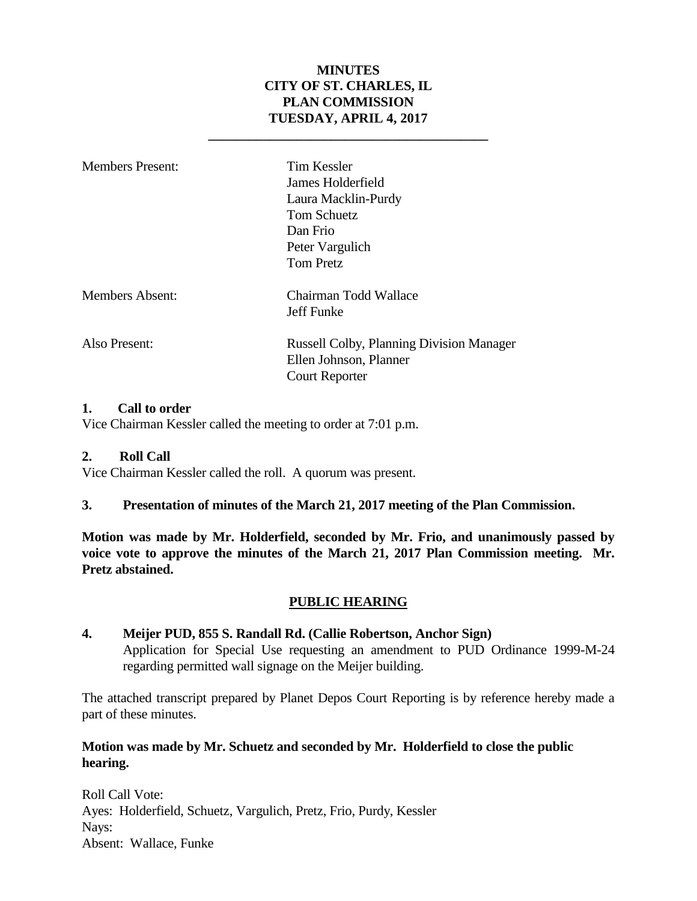#### **MINUTES CITY OF ST. CHARLES, IL PLAN COMMISSION TUESDAY, APRIL 4, 2017**

**\_\_\_\_\_\_\_\_\_\_\_\_\_\_\_\_\_\_\_\_\_\_\_\_\_\_\_\_\_\_\_\_\_\_\_\_\_\_\_\_\_**

| Members Present:       | Tim Kessler<br>James Holderfield<br>Laura Macklin-Purdy<br>Tom Schuetz<br>Dan Frio<br>Peter Vargulich<br><b>Tom Pretz</b> |
|------------------------|---------------------------------------------------------------------------------------------------------------------------|
| <b>Members Absent:</b> | Chairman Todd Wallace<br>Jeff Funke                                                                                       |
| Also Present:          | <b>Russell Colby, Planning Division Manager</b><br>Ellen Johnson, Planner<br><b>Court Reporter</b>                        |

#### **1. Call to order**

Vice Chairman Kessler called the meeting to order at 7:01 p.m.

#### **2. Roll Call**

Vice Chairman Kessler called the roll. A quorum was present.

#### **3. Presentation of minutes of the March 21, 2017 meeting of the Plan Commission.**

**Motion was made by Mr. Holderfield, seconded by Mr. Frio, and unanimously passed by voice vote to approve the minutes of the March 21, 2017 Plan Commission meeting. Mr. Pretz abstained.**

#### **PUBLIC HEARING**

#### **4. Meijer PUD, 855 S. Randall Rd. (Callie Robertson, Anchor Sign)**  Application for Special Use requesting an amendment to PUD Ordinance 1999-M-24 regarding permitted wall signage on the Meijer building.

The attached transcript prepared by Planet Depos Court Reporting is by reference hereby made a part of these minutes.

#### **Motion was made by Mr. Schuetz and seconded by Mr. Holderfield to close the public hearing.**

Roll Call Vote: Ayes: Holderfield, Schuetz, Vargulich, Pretz, Frio, Purdy, Kessler Nays: Absent: Wallace, Funke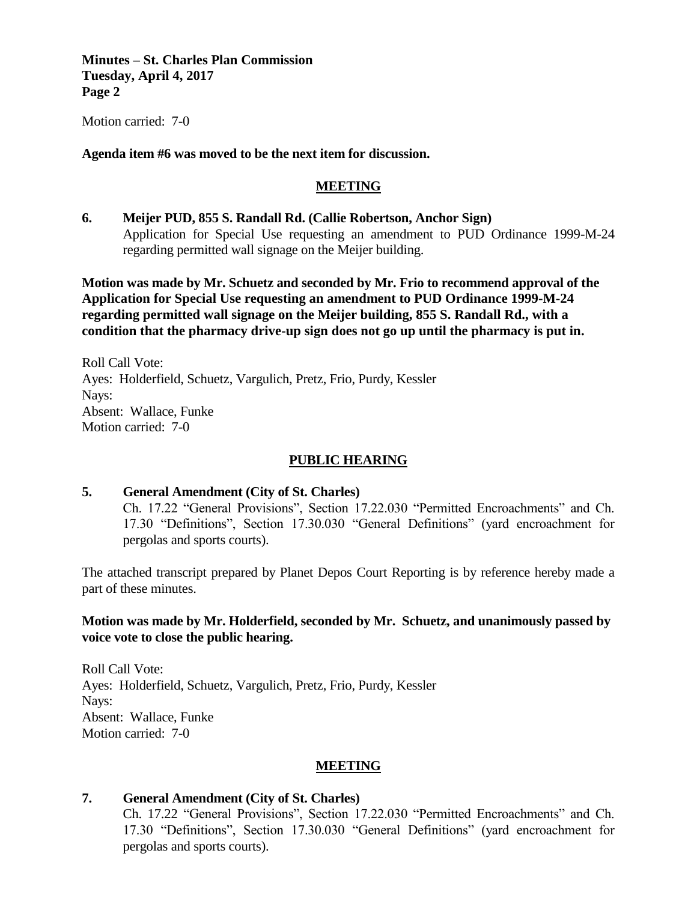**Minutes – St. Charles Plan Commission Tuesday, April 4, 2017 Page 2**

Motion carried: 7-0

#### **Agenda item #6 was moved to be the next item for discussion.**

#### **MEETING**

**6. Meijer PUD, 855 S. Randall Rd. (Callie Robertson, Anchor Sign)**  Application for Special Use requesting an amendment to PUD Ordinance 1999-M-24 regarding permitted wall signage on the Meijer building.

**Motion was made by Mr. Schuetz and seconded by Mr. Frio to recommend approval of the Application for Special Use requesting an amendment to PUD Ordinance 1999-M-24 regarding permitted wall signage on the Meijer building, 855 S. Randall Rd., with a condition that the pharmacy drive-up sign does not go up until the pharmacy is put in.**

Roll Call Vote: Ayes: Holderfield, Schuetz, Vargulich, Pretz, Frio, Purdy, Kessler Nays: Absent: Wallace, Funke Motion carried: 7-0

#### **PUBLIC HEARING**

#### **5. General Amendment (City of St. Charles)**

Ch. 17.22 "General Provisions", Section 17.22.030 "Permitted Encroachments" and Ch. 17.30 "Definitions", Section 17.30.030 "General Definitions" (yard encroachment for pergolas and sports courts).

The attached transcript prepared by Planet Depos Court Reporting is by reference hereby made a part of these minutes.

#### **Motion was made by Mr. Holderfield, seconded by Mr. Schuetz, and unanimously passed by voice vote to close the public hearing.**

Roll Call Vote: Ayes: Holderfield, Schuetz, Vargulich, Pretz, Frio, Purdy, Kessler Nays: Absent: Wallace, Funke Motion carried: 7-0

#### **MEETING**

#### **7. General Amendment (City of St. Charles)**

Ch. 17.22 "General Provisions", Section 17.22.030 "Permitted Encroachments" and Ch. 17.30 "Definitions", Section 17.30.030 "General Definitions" (yard encroachment for pergolas and sports courts).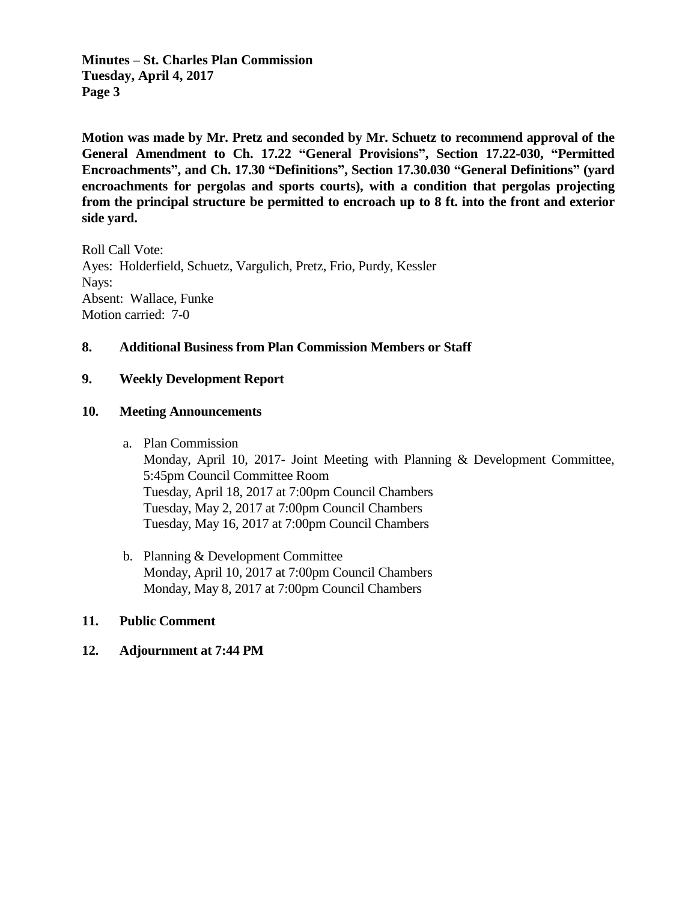**Minutes – St. Charles Plan Commission Tuesday, April 4, 2017 Page 3**

**Motion was made by Mr. Pretz and seconded by Mr. Schuetz to recommend approval of the General Amendment to Ch. 17.22 "General Provisions", Section 17.22-030, "Permitted Encroachments", and Ch. 17.30 "Definitions", Section 17.30.030 "General Definitions" (yard encroachments for pergolas and sports courts), with a condition that pergolas projecting from the principal structure be permitted to encroach up to 8 ft. into the front and exterior side yard.** 

Roll Call Vote: Ayes: Holderfield, Schuetz, Vargulich, Pretz, Frio, Purdy, Kessler Nays: Absent: Wallace, Funke Motion carried: 7-0

#### **8. Additional Business from Plan Commission Members or Staff**

#### **9. Weekly Development Report**

#### **10. Meeting Announcements**

a. Plan Commission

Monday, April 10, 2017- Joint Meeting with Planning & Development Committee, 5:45pm Council Committee Room Tuesday, April 18, 2017 at 7:00pm Council Chambers Tuesday, May 2, 2017 at 7:00pm Council Chambers Tuesday, May 16, 2017 at 7:00pm Council Chambers

b. Planning & Development Committee Monday, April 10, 2017 at 7:00pm Council Chambers Monday, May 8, 2017 at 7:00pm Council Chambers

#### **11. Public Comment**

#### **12. Adjournment at 7:44 PM**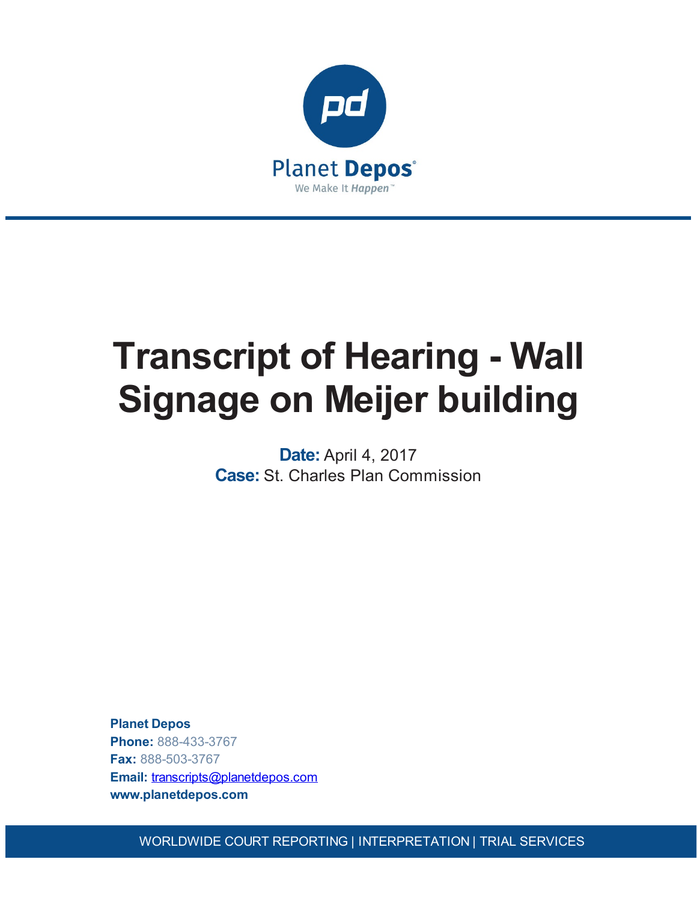

# **Transcript of Hearing - Wall Signage on Meijer building**

**Date:** April 4, 2017 **Case:** St. Charles Plan Commission

**Planet Depos Phone:** 888-433-3767 **Fax:** 888-503-3767 **Email:** [transcripts@planetdepos.com](mailto:transcripts@planetdepos.com) **www.planetdepos.com**

WORLDWIDE COURT REPORTING | INTERPRETATION | TRIAL SERVICES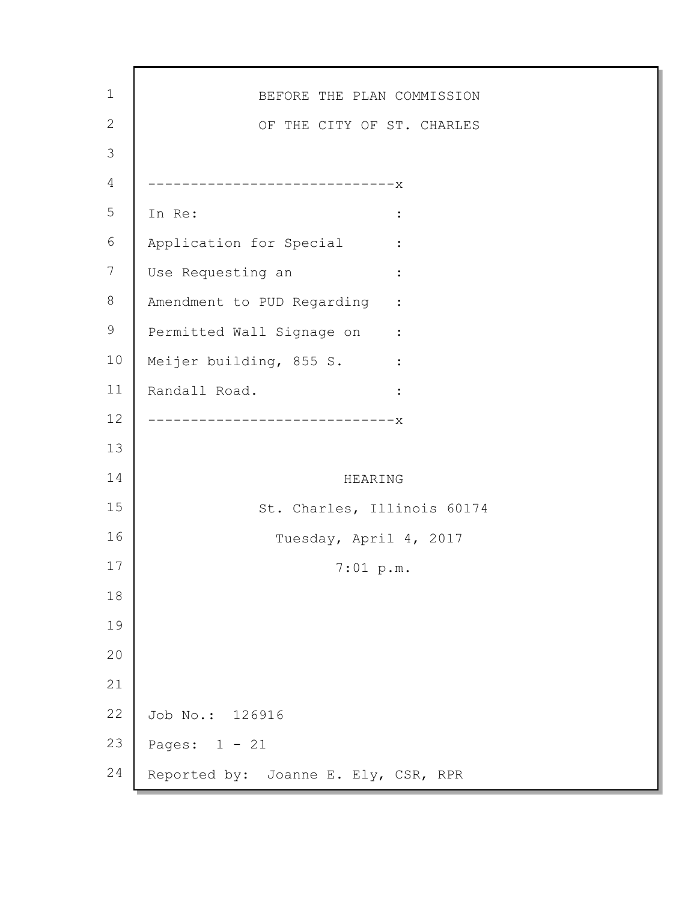| $\mathbf 1$    | BEFORE THE PLAN COMMISSION                                   |
|----------------|--------------------------------------------------------------|
| $\mathbf{2}$   | OF THE CITY OF ST. CHARLES                                   |
| $\mathfrak{Z}$ |                                                              |
| 4              | ---------------------------X                                 |
| 5              | In Re:<br>$\ddot{\cdot}$                                     |
| 6              | Application for Special                                      |
| 7              | Use Requesting an<br>$\ddot{\cdot}$                          |
| $8\,$          | Amendment to PUD Regarding<br>$\sim$ $\sim$ $\sim$ $\sim$    |
| 9              | Permitted Wall Signage on :                                  |
| 10             | Meijer building, 855 S.<br>$\sim 10^{11}$ and $\sim 10^{11}$ |
| 11             | Randall Road.<br>$\ddot{\cdot}$                              |
| 12             | --------------------X                                        |
| 13             |                                                              |
| 14             | HEARING                                                      |
| 15             | St. Charles, Illinois 60174                                  |
| 16             | Tuesday, April 4, 2017                                       |
| 17             | 7:01~p.m.                                                    |
| 18             |                                                              |
| 19             |                                                              |
| 20             |                                                              |
| 21             |                                                              |
| 22             | Job No.: 126916                                              |
| 23             | Pages: $1 - 21$                                              |
| 24             | Reported by: Joanne E. Ely, CSR, RPR                         |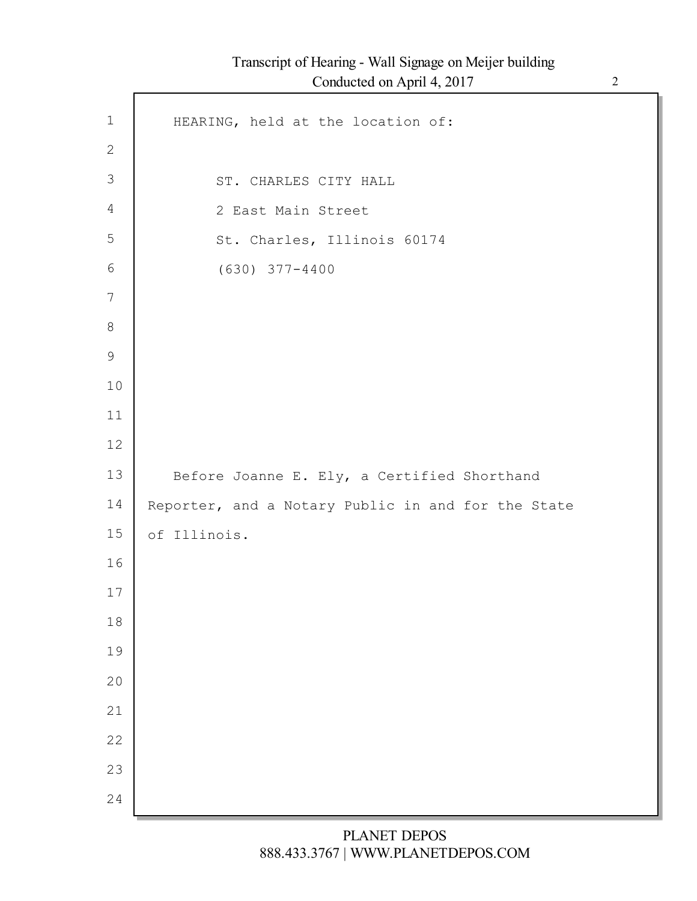Г

| $1\,$          | HEARING, held at the location of:                  |
|----------------|----------------------------------------------------|
| $\mathbf{2}$   |                                                    |
| $\mathfrak{Z}$ | ST. CHARLES CITY HALL                              |
| $\overline{4}$ | 2 East Main Street                                 |
| 5              | St. Charles, Illinois 60174                        |
| $6\,$          | $(630)$ $377 - 4400$                               |
| $\overline{7}$ |                                                    |
| $8\,$          |                                                    |
| $\mathsf 9$    |                                                    |
| 10             |                                                    |
| 11             |                                                    |
| 12             |                                                    |
| 13             | Before Joanne E. Ely, a Certified Shorthand        |
| 14             | Reporter, and a Notary Public in and for the State |
| 15             | of Illinois.                                       |
| 16             |                                                    |
| 17             |                                                    |
| 18             |                                                    |
| 19             |                                                    |
| 20             |                                                    |
| 21             |                                                    |
| 22             |                                                    |
| 23             |                                                    |
| 24             |                                                    |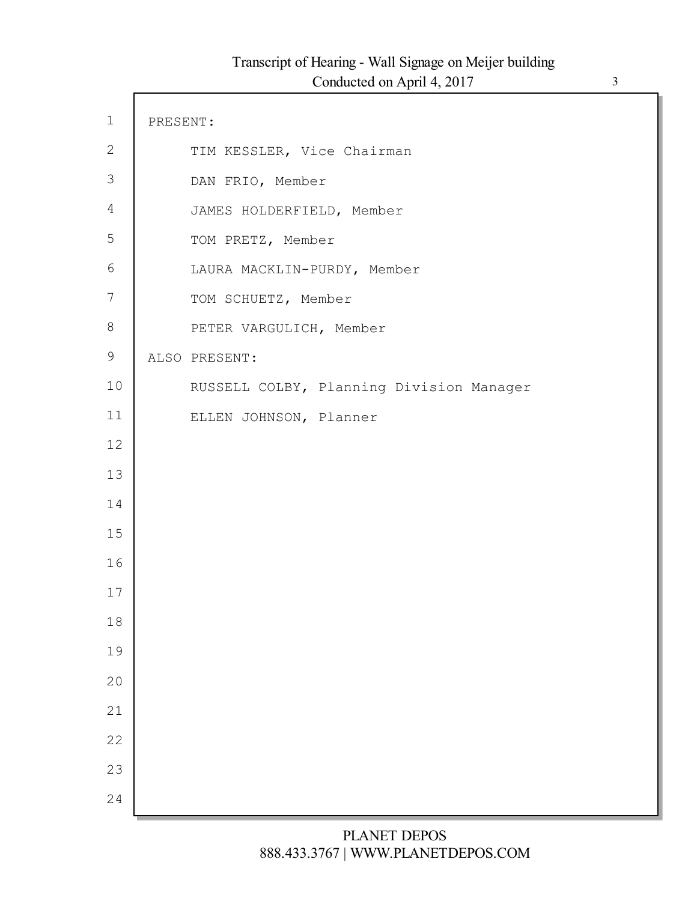$\Gamma$ 

| $\mathbf 1$    | PRESENT: |                                          |
|----------------|----------|------------------------------------------|
| $\mathbf{2}$   |          | TIM KESSLER, Vice Chairman               |
| $\mathfrak{Z}$ |          | DAN FRIO, Member                         |
| $\overline{4}$ |          | JAMES HOLDERFIELD, Member                |
| 5              |          | TOM PRETZ, Member                        |
| $\sqrt{6}$     |          | LAURA MACKLIN-PURDY, Member              |
| $\overline{7}$ |          | TOM SCHUETZ, Member                      |
| 8              |          | PETER VARGULICH, Member                  |
| $\mathsf 9$    |          | ALSO PRESENT:                            |
| 10             |          | RUSSELL COLBY, Planning Division Manager |
| 11             |          | ELLEN JOHNSON, Planner                   |
| 12             |          |                                          |
| 13             |          |                                          |
| 14             |          |                                          |
| 15             |          |                                          |
| 16             |          |                                          |
| 17             |          |                                          |
| 18             |          |                                          |
| 19             |          |                                          |
| 20             |          |                                          |
| 21             |          |                                          |
| 22             |          |                                          |
| 23             |          |                                          |
| 24             |          |                                          |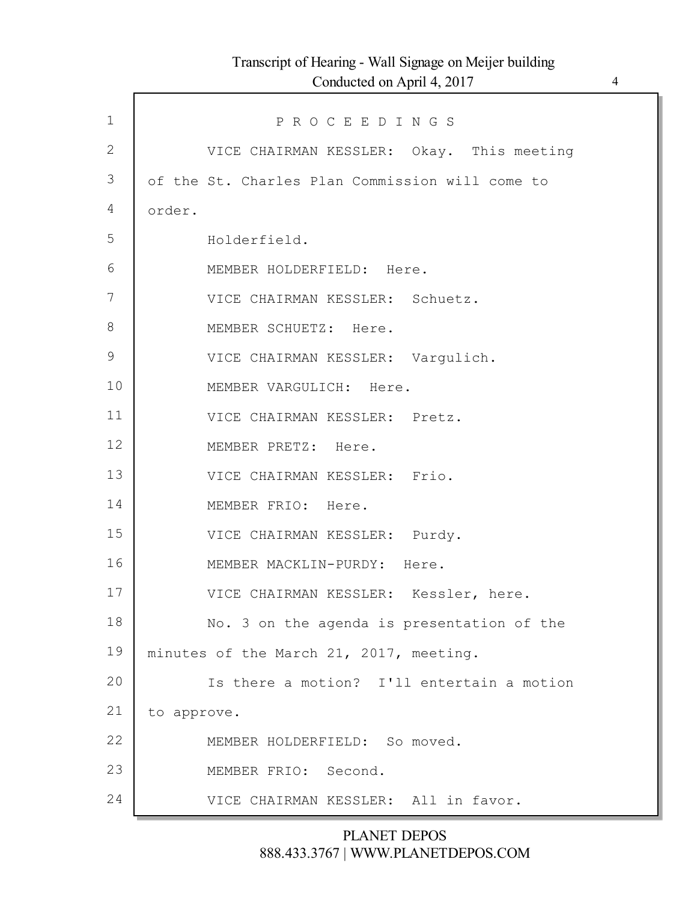Г

| $\mathbf{1}$   | PROCEEDINGS                                     |
|----------------|-------------------------------------------------|
| $\overline{2}$ | VICE CHAIRMAN KESSLER: Okay. This meeting       |
| 3              | of the St. Charles Plan Commission will come to |
| 4              | order.                                          |
| 5              | Holderfield.                                    |
| 6              | MEMBER HOLDERFIELD: Here.                       |
| 7              | VICE CHAIRMAN KESSLER: Schuetz.                 |
| 8              | MEMBER SCHUETZ: Here.                           |
| $\mathcal{G}$  | VICE CHAIRMAN KESSLER: Vargulich.               |
| 10             | MEMBER VARGULICH: Here.                         |
| 11             | VICE CHAIRMAN KESSLER: Pretz.                   |
| 12             | MEMBER PRETZ: Here.                             |
| 13             | VICE CHAIRMAN KESSLER: Frio.                    |
| 14             | MEMBER FRIO: Here.                              |
| 15             | VICE CHAIRMAN KESSLER: Purdy.                   |
| 16             | MEMBER MACKLIN-PURDY: Here.                     |
| 17             | VICE CHAIRMAN KESSLER: Kessler, here.           |
| 18             | No. 3 on the agenda is presentation of the      |
| 19             | minutes of the March 21, 2017, meeting.         |
| 20             | Is there a motion? I'll entertain a motion      |
| 21             | to approve.                                     |
| 22             | MEMBER HOLDERFIELD: So moved.                   |
| 23             | MEMBER FRIO: Second.                            |
| 24             | VICE CHAIRMAN KESSLER: All in favor.            |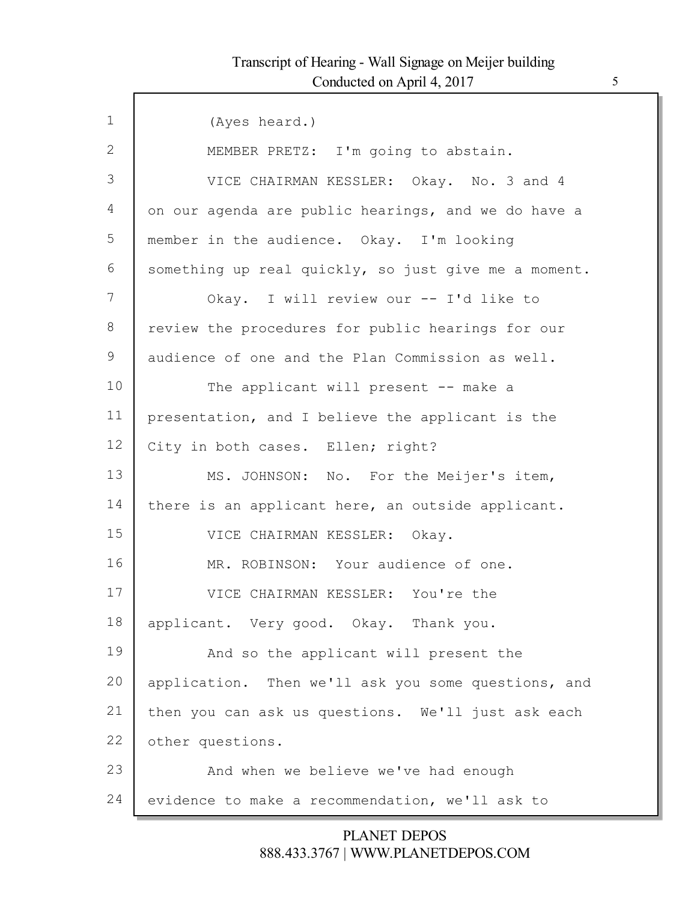Г

| $\mathbf{1}$ | (Ayes heard.)                                        |
|--------------|------------------------------------------------------|
| 2            | MEMBER PRETZ: I'm going to abstain.                  |
| 3            | VICE CHAIRMAN KESSLER: Okay. No. 3 and 4             |
| 4            | on our agenda are public hearings, and we do have a  |
| 5            | member in the audience. Okay. I'm looking            |
| 6            | something up real quickly, so just give me a moment. |
| 7            | Okay. I will review our -- I'd like to               |
| 8            | review the procedures for public hearings for our    |
| 9            | audience of one and the Plan Commission as well.     |
| 10           | The applicant will present -- make a                 |
| 11           | presentation, and I believe the applicant is the     |
| 12           | City in both cases. Ellen; right?                    |
| 13           | MS. JOHNSON: No. For the Meijer's item,              |
| 14           | there is an applicant here, an outside applicant.    |
| 15           | VICE CHAIRMAN KESSLER: Okay.                         |
| 16           | MR. ROBINSON: Your audience of one.                  |
| 17           | VICE CHAIRMAN KESSLER: You're the                    |
| 18           | applicant. Very good. Okay. Thank you.               |
| 19           | And so the applicant will present the                |
| 20           | application. Then we'll ask you some questions, and  |
| 21           | then you can ask us questions. We'll just ask each   |
| 22           | other questions.                                     |
| 23           | And when we believe we've had enough                 |
| 24           | evidence to make a recommendation, we'll ask to      |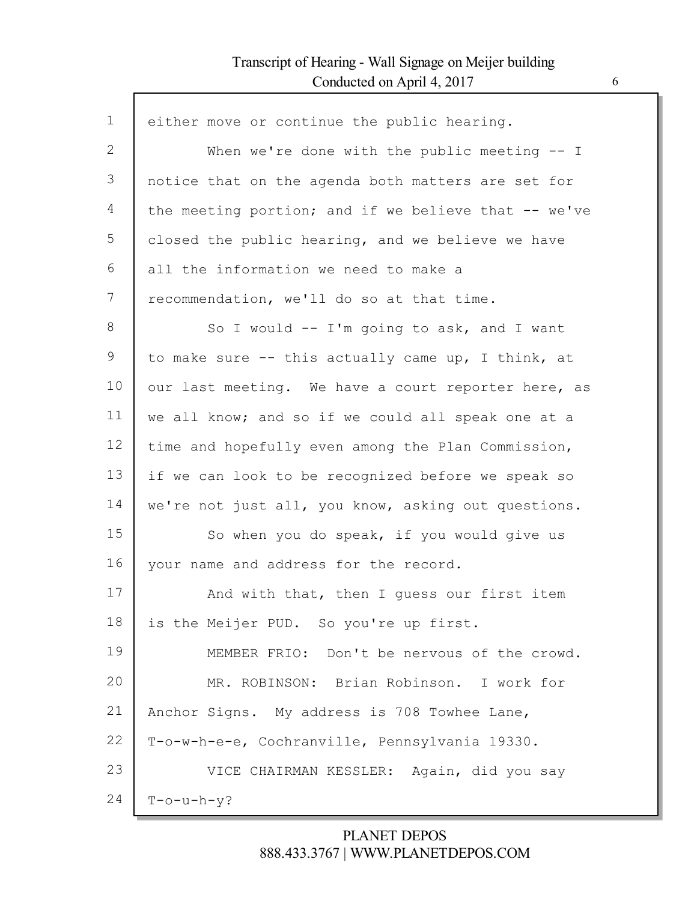Г

| $\mathbf{1}$    | either move or continue the public hearing.          |
|-----------------|------------------------------------------------------|
| 2               | When we're done with the public meeting $-$ I        |
| 3               | notice that on the agenda both matters are set for   |
| 4               | the meeting portion; and if we believe that -- we've |
| 5               | closed the public hearing, and we believe we have    |
| 6               | all the information we need to make a                |
| $7\phantom{.0}$ | recommendation, we'll do so at that time.            |
| 8               | So I would -- I'm going to ask, and I want           |
| 9               | to make sure -- this actually came up, I think, at   |
| 10              | our last meeting. We have a court reporter here, as  |
| 11              | we all know; and so if we could all speak one at a   |
| 12              | time and hopefully even among the Plan Commission,   |
| 13              | if we can look to be recognized before we speak so   |
| 14              | we're not just all, you know, asking out questions.  |
| 15              | So when you do speak, if you would give us           |
| 16              | your name and address for the record.                |
| 17              | And with that, then I guess our first item           |
| 18              | is the Meijer PUD. So you're up first.               |
| 19              | MEMBER FRIO: Don't be nervous of the crowd.          |
| 20              | MR. ROBINSON: Brian Robinson. I work for             |
| 21              | Anchor Signs. My address is 708 Towhee Lane,         |
| 22              | T-o-w-h-e-e, Cochranville, Pennsylvania 19330.       |
| 23              | VICE CHAIRMAN KESSLER: Again, did you say            |
| 24              | $T$ -o-u-h-y?                                        |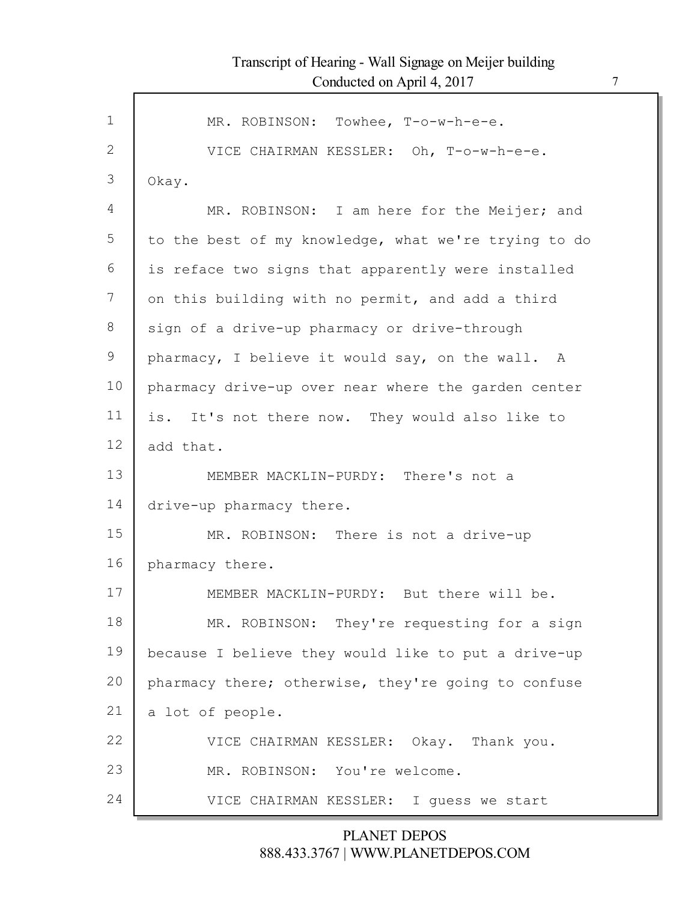| $\mathbf 1$  | MR. ROBINSON: Towhee, T-o-w-h-e-e.                   |
|--------------|------------------------------------------------------|
| $\mathbf{2}$ | VICE CHAIRMAN KESSLER: Oh, T-o-w-h-e-e.              |
| 3            | Okay.                                                |
| 4            | MR. ROBINSON: I am here for the Meijer; and          |
| 5            | to the best of my knowledge, what we're trying to do |
| 6            | is reface two signs that apparently were installed   |
| 7            | on this building with no permit, and add a third     |
| 8            | sign of a drive-up pharmacy or drive-through         |
|              |                                                      |
| 9            | pharmacy, I believe it would say, on the wall. A     |
| 10           | pharmacy drive-up over near where the garden center  |
| 11           | is. It's not there now. They would also like to      |
| 12           | add that.                                            |
| 13           | MEMBER MACKLIN-PURDY: There's not a                  |
| 14           | drive-up pharmacy there.                             |
| 15           | MR. ROBINSON: There is not a drive-up                |
| 16           | pharmacy there.                                      |
| 17           | MEMBER MACKLIN-PURDY: But there will be.             |
| 18           | MR. ROBINSON: They're requesting for a sign          |
| 19           | because I believe they would like to put a drive-up  |
| 20           | pharmacy there; otherwise, they're going to confuse  |
| 21           | a lot of people.                                     |
| 22           | VICE CHAIRMAN KESSLER: Okay. Thank you.              |
| 23           | MR. ROBINSON: You're welcome.                        |
| 24           | VICE CHAIRMAN KESSLER: I quess we start              |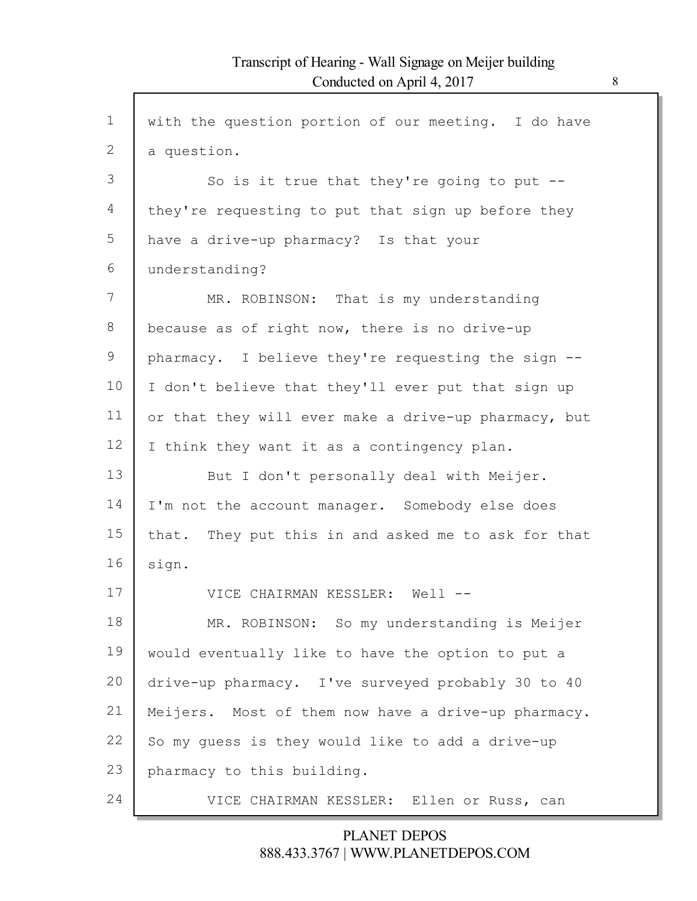Г

| $\mathbf 1$ | with the question portion of our meeting. I do have  |
|-------------|------------------------------------------------------|
| 2           | a question.                                          |
| 3           | So is it true that they're going to put $-$ -        |
| 4           | they're requesting to put that sign up before they   |
| 5           | have a drive-up pharmacy? Is that your               |
| 6           | understanding?                                       |
| 7           | MR. ROBINSON: That is my understanding               |
| 8           | because as of right now, there is no drive-up        |
| 9           | pharmacy. I believe they're requesting the sign --   |
| 10          | I don't believe that they'll ever put that sign up   |
| 11          | or that they will ever make a drive-up pharmacy, but |
| 12          | I think they want it as a contingency plan.          |
| 13          | But I don't personally deal with Meijer.             |
| 14          | I'm not the account manager. Somebody else does      |
| 15          | that. They put this in and asked me to ask for that  |
| 16          | sign.                                                |
| 17          | VICE CHAIRMAN KESSLER: Well                          |
| 18          | MR. ROBINSON: So my understanding is Meijer          |
| 19          | would eventually like to have the option to put a    |
| 20          | drive-up pharmacy. I've surveyed probably 30 to 40   |
| 21          | Meijers. Most of them now have a drive-up pharmacy.  |
| 22          | So my guess is they would like to add a drive-up     |
| 23          | pharmacy to this building.                           |
| 24          | VICE CHAIRMAN KESSLER: Ellen or Russ, can            |
|             |                                                      |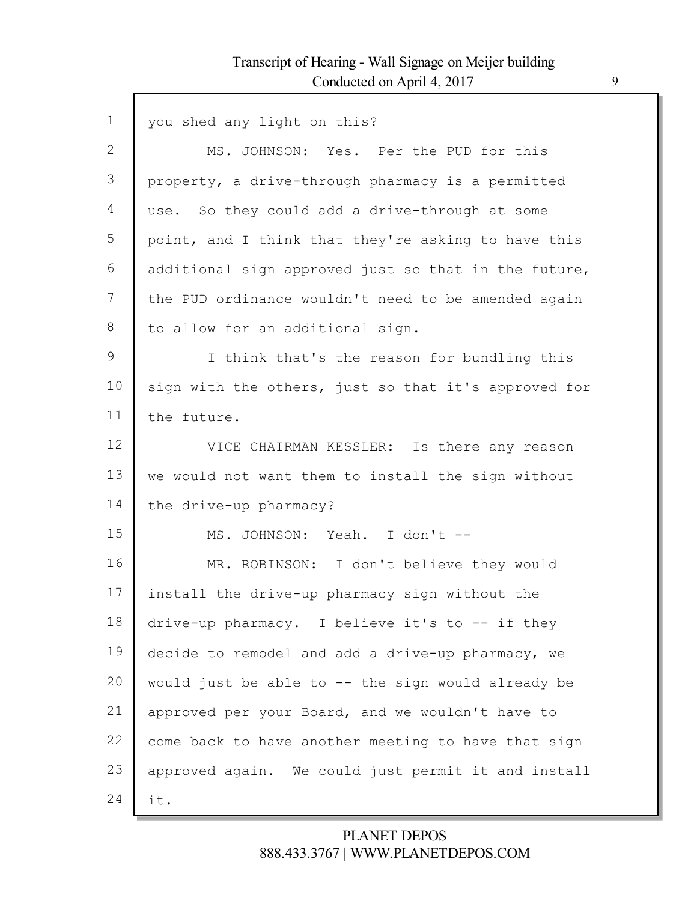Г

| $\mathbf 1$  | you shed any light on this?                          |
|--------------|------------------------------------------------------|
| $\mathbf{2}$ | MS. JOHNSON: Yes. Per the PUD for this               |
| 3            | property, a drive-through pharmacy is a permitted    |
| 4            | use. So they could add a drive-through at some       |
| 5            | point, and I think that they're asking to have this  |
| 6            | additional sign approved just so that in the future, |
| 7            | the PUD ordinance wouldn't need to be amended again  |
| 8            | to allow for an additional sign.                     |
| 9            | I think that's the reason for bundling this          |
| 10           | sign with the others, just so that it's approved for |
| 11           | the future.                                          |
| 12           | VICE CHAIRMAN KESSLER: Is there any reason           |
| 13           | we would not want them to install the sign without   |
| 14           | the drive-up pharmacy?                               |
| 15           | MS. JOHNSON: Yeah. I don't --                        |
| 16           | MR. ROBINSON: I don't believe they would             |
| 17           | install the drive-up pharmacy sign without the       |
| 18           | drive-up pharmacy. I believe it's to -- if they      |
| 19           | decide to remodel and add a drive-up pharmacy, we    |
| 20           | would just be able to -- the sign would already be   |
| 21           | approved per your Board, and we wouldn't have to     |
| 22           | come back to have another meeting to have that sign  |
| 23           | approved again. We could just permit it and install  |
| 24           | it.                                                  |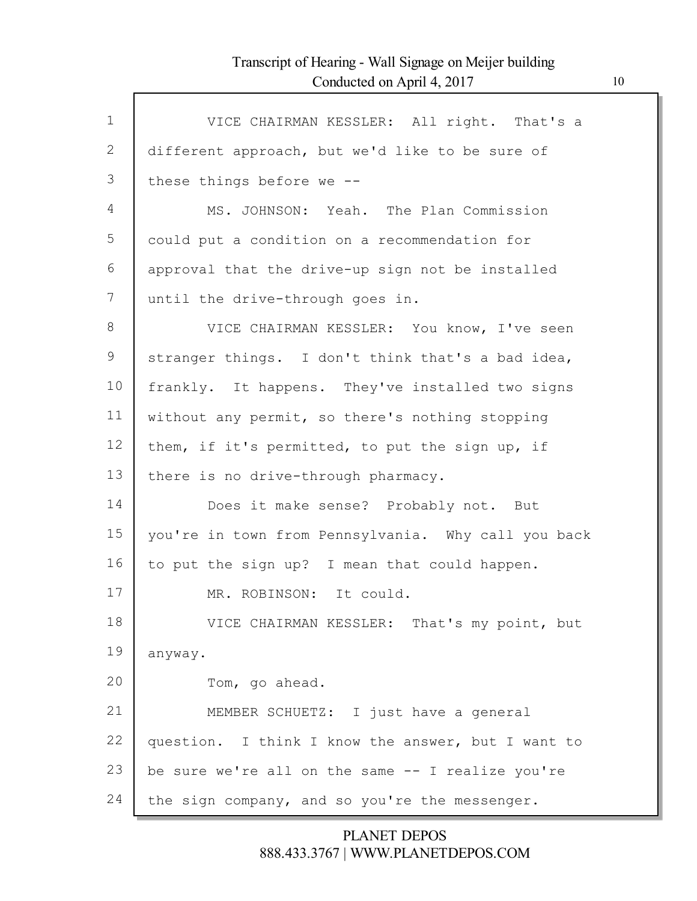| $\mathbf{1}$ | VICE CHAIRMAN KESSLER: All right. That's a          |
|--------------|-----------------------------------------------------|
| 2            | different approach, but we'd like to be sure of     |
| 3            | these things before we --                           |
| 4            | MS. JOHNSON: Yeah. The Plan Commission              |
| 5            | could put a condition on a recommendation for       |
| 6            | approval that the drive-up sign not be installed    |
| 7            | until the drive-through goes in.                    |
| 8            | VICE CHAIRMAN KESSLER: You know, I've seen          |
| 9            | stranger things. I don't think that's a bad idea,   |
| 10           | frankly. It happens. They've installed two signs    |
| 11           | without any permit, so there's nothing stopping     |
| 12           | them, if it's permitted, to put the sign up, if     |
| 13           | there is no drive-through pharmacy.                 |
| 14           | Does it make sense? Probably not. But               |
| 15           | you're in town from Pennsylvania. Why call you back |
| 16           | to put the sign up? I mean that could happen.       |
| 17           | MR. ROBINSON: It could.                             |
| 18           | VICE CHAIRMAN KESSLER: That's my point, but         |
| 19           | anyway.                                             |
| 20           | Tom, go ahead.                                      |
| 21           | MEMBER SCHUETZ: I just have a general               |
| 22           | question. I think I know the answer, but I want to  |
| 23           | be sure we're all on the same -- I realize you're   |
| 24           | the sign company, and so you're the messenger.      |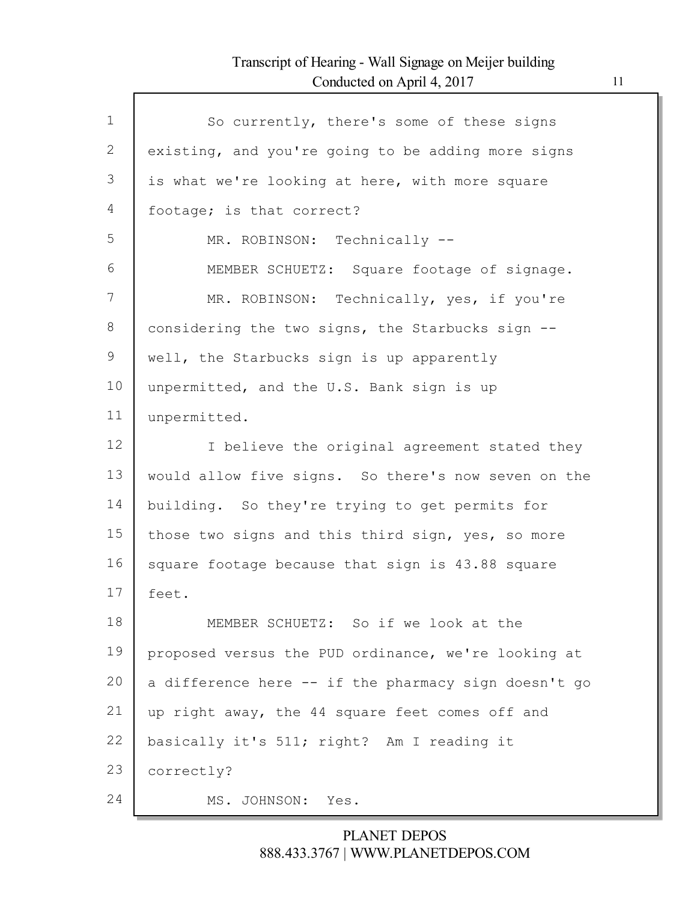Г

| $\mathbf{1}$ | So currently, there's some of these signs            |
|--------------|------------------------------------------------------|
| 2            | existing, and you're going to be adding more signs   |
| 3            | is what we're looking at here, with more square      |
| 4            | footage; is that correct?                            |
| 5            | MR. ROBINSON: Technically --                         |
| 6            | MEMBER SCHUETZ: Square footage of signage.           |
| 7            | MR. ROBINSON: Technically, yes, if you're            |
| 8            | considering the two signs, the Starbucks sign --     |
| 9            | well, the Starbucks sign is up apparently            |
| 10           | unpermitted, and the U.S. Bank sign is up            |
| 11           | unpermitted.                                         |
| 12           | I believe the original agreement stated they         |
| 13           | would allow five signs. So there's now seven on the  |
| 14           | building. So they're trying to get permits for       |
| 15           | those two signs and this third sign, yes, so more    |
| 16           | square footage because that sign is 43.88 square     |
| 17           | feet.                                                |
| 18           | MEMBER SCHUETZ: So if we look at the                 |
| 19           | proposed versus the PUD ordinance, we're looking at  |
| 20           | a difference here -- if the pharmacy sign doesn't go |
| 21           | up right away, the 44 square feet comes off and      |
| 22           | basically it's 511; right? Am I reading it           |
| 23           | correctly?                                           |
| 24           | MS. JOHNSON: Yes.                                    |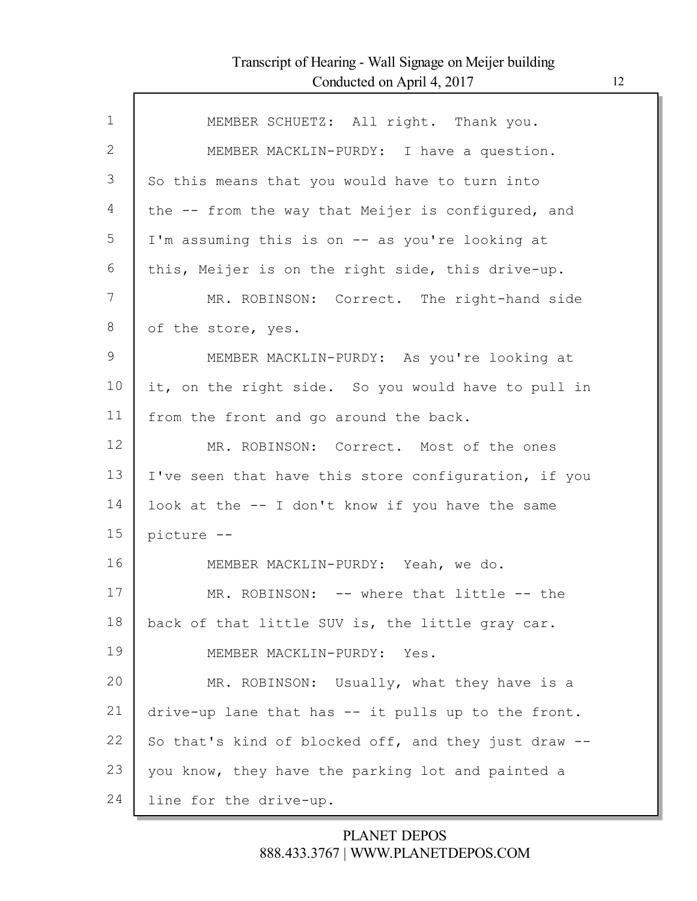Г

| MEMBER SCHUETZ: All right. Thank you.                |
|------------------------------------------------------|
| MEMBER MACKLIN-PURDY: I have a question.             |
| So this means that you would have to turn into       |
| the -- from the way that Meijer is configured, and   |
| I'm assuming this is on -- as you're looking at      |
| this, Meijer is on the right side, this drive-up.    |
| MR. ROBINSON: Correct. The right-hand side           |
| of the store, yes.                                   |
| MEMBER MACKLIN-PURDY: As you're looking at           |
| it, on the right side. So you would have to pull in  |
| from the front and go around the back.               |
| MR. ROBINSON: Correct. Most of the ones              |
| I've seen that have this store configuration, if you |
| look at the -- I don't know if you have the same     |
| picture --                                           |
| MEMBER MACKLIN-PURDY: Yeah, we do.                   |
| MR. ROBINSON: -- where that little -- the            |
| back of that little SUV is, the little gray car.     |
| MEMBER MACKLIN-PURDY: Yes.                           |
| MR. ROBINSON: Usually, what they have is a           |
| drive-up lane that has -- it pulls up to the front.  |
| So that's kind of blocked off, and they just draw -- |
| you know, they have the parking lot and painted a    |
| line for the drive-up.                               |
|                                                      |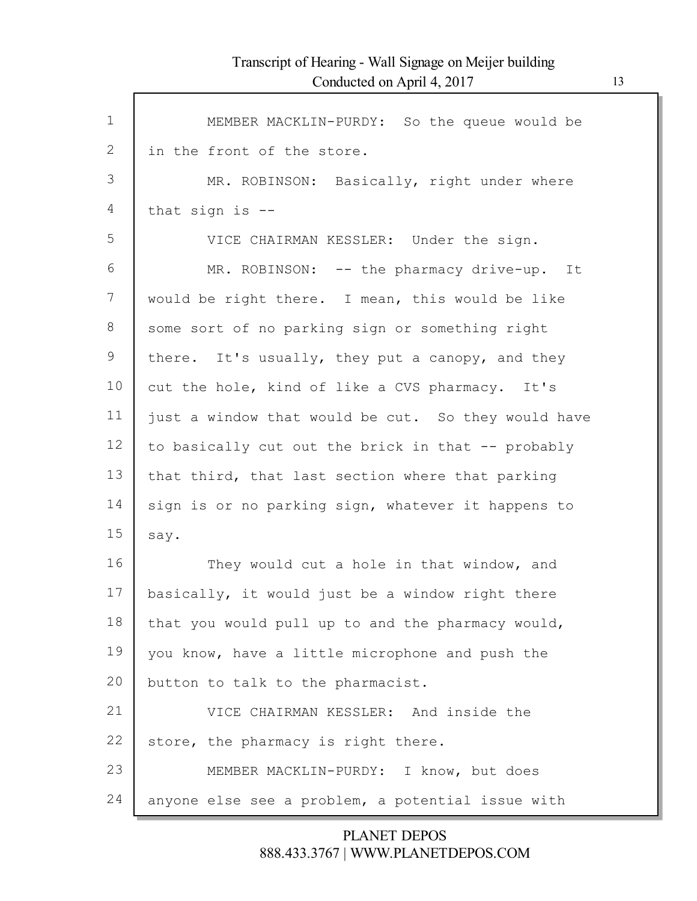$\mathsf{l}$ 

| $\mathbf 1$ | MEMBER MACKLIN-PURDY: So the queue would be         |
|-------------|-----------------------------------------------------|
| 2           | in the front of the store.                          |
| 3           | MR. ROBINSON: Basically, right under where          |
| 4           | that sign is $-$ -                                  |
| 5           | VICE CHAIRMAN KESSLER: Under the sign.              |
| 6           | MR. ROBINSON: -- the pharmacy drive-up. It          |
| 7           | would be right there. I mean, this would be like    |
| 8           | some sort of no parking sign or something right     |
| 9           | there. It's usually, they put a canopy, and they    |
| 10          | cut the hole, kind of like a CVS pharmacy. It's     |
| 11          | just a window that would be cut. So they would have |
| 12          | to basically cut out the brick in that -- probably  |
| 13          | that third, that last section where that parking    |
| 14          | sign is or no parking sign, whatever it happens to  |
| 15          | say.                                                |
| 16          | They would cut a hole in that window, and           |
| 17          | basically, it would just be a window right there    |
| 18          | that you would pull up to and the pharmacy would,   |
| 19          | you know, have a little microphone and push the     |
| 20          | button to talk to the pharmacist.                   |
| 21          | VICE CHAIRMAN KESSLER: And inside the               |
| 22          | store, the pharmacy is right there.                 |
| 23          | MEMBER MACKLIN-PURDY: I know, but does              |
| 24          | anyone else see a problem, a potential issue with   |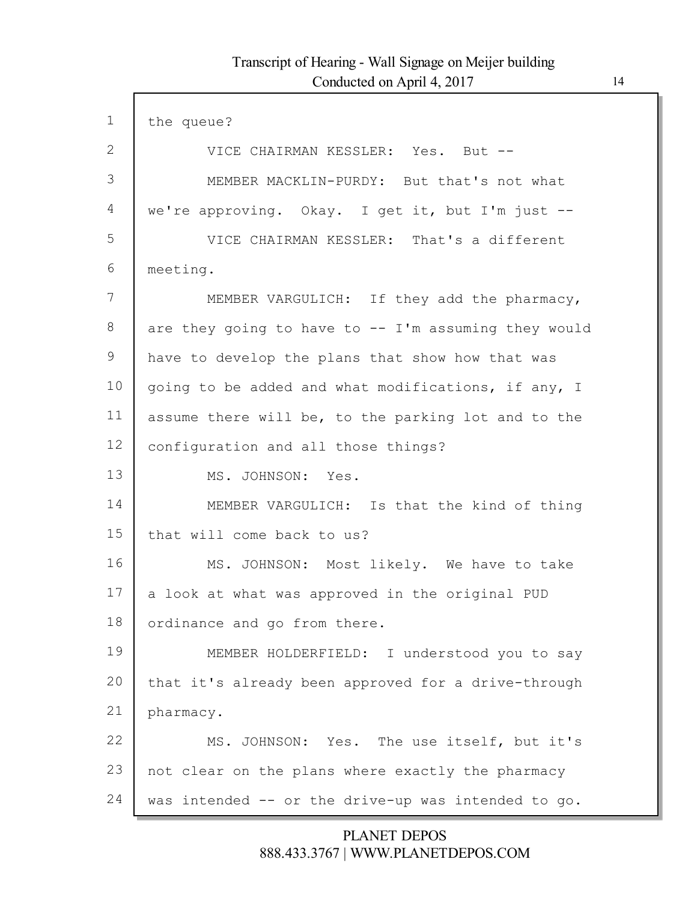| $\mathbf 1$ | the queue?                                             |
|-------------|--------------------------------------------------------|
| 2           | VICE CHAIRMAN KESSLER: Yes. But --                     |
| 3           | MEMBER MACKLIN-PURDY: But that's not what              |
| 4           | we're approving. Okay. I get it, but I'm just --       |
| 5           | VICE CHAIRMAN KESSLER: That's a different              |
| 6           | meeting.                                               |
| 7           | MEMBER VARGULICH: If they add the pharmacy,            |
| 8           | are they going to have to $--$ I'm assuming they would |
| 9           | have to develop the plans that show how that was       |
| 10          | going to be added and what modifications, if any, I    |
| 11          | assume there will be, to the parking lot and to the    |
| 12          | configuration and all those things?                    |
| 13          | MS. JOHNSON: Yes.                                      |
| 14          | MEMBER VARGULICH: Is that the kind of thing            |
| 15          | that will come back to us?                             |
| 16          | MS. JOHNSON: Most likely. We have to take              |
| 17          | a look at what was approved in the original PUD        |
| 18          | ordinance and go from there.                           |
| 19          | MEMBER HOLDERFIELD: I understood you to say            |
| 20          | that it's already been approved for a drive-through    |
| 21          | pharmacy.                                              |
| 22          | MS. JOHNSON: Yes. The use itself, but it's             |
| 23          | not clear on the plans where exactly the pharmacy      |
| 24          | was intended -- or the drive-up was intended to go.    |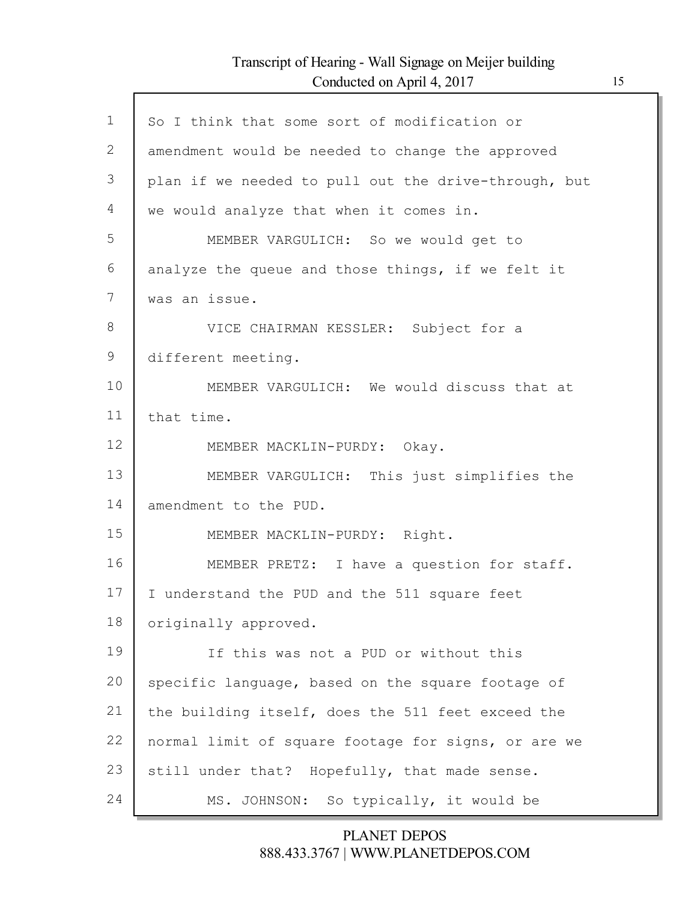Г

| $\mathbf{1}$ | So I think that some sort of modification or         |
|--------------|------------------------------------------------------|
| 2            | amendment would be needed to change the approved     |
| 3            | plan if we needed to pull out the drive-through, but |
| 4            | we would analyze that when it comes in.              |
| 5            | MEMBER VARGULICH: So we would get to                 |
| 6            | analyze the queue and those things, if we felt it    |
| 7            | was an issue.                                        |
| 8            | VICE CHAIRMAN KESSLER: Subject for a                 |
| 9            | different meeting.                                   |
| 10           | MEMBER VARGULICH: We would discuss that at           |
| 11           | that time.                                           |
| 12           | MEMBER MACKLIN-PURDY: Okay.                          |
| 13           | MEMBER VARGULICH: This just simplifies the           |
| 14           | amendment to the PUD.                                |
| 15           | MEMBER MACKLIN-PURDY: Right.                         |
| 16           | MEMBER PRETZ: I have a question for staff.           |
| 17           | I understand the PUD and the 511 square feet         |
| 18           | originally approved.                                 |
| 19           | If this was not a PUD or without this                |
| 20           | specific language, based on the square footage of    |
| 21           | the building itself, does the 511 feet exceed the    |
| 22           | normal limit of square footage for signs, or are we  |
| 23           | still under that? Hopefully, that made sense.        |
| 24           | MS. JOHNSON: So typically, it would be               |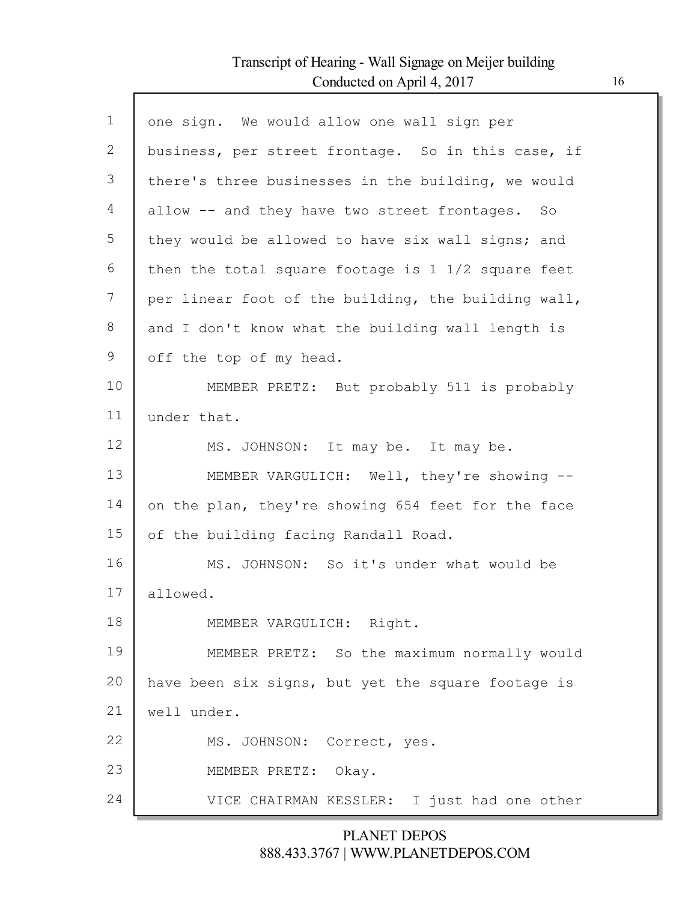Г

| $\mathbf{1}$ | one sign. We would allow one wall sign per                  |
|--------------|-------------------------------------------------------------|
| $\mathbf{2}$ | business, per street frontage. So in this case, if          |
| 3            | there's three businesses in the building, we would          |
| 4            | allow -- and they have two street frontages. So             |
| 5            | they would be allowed to have six wall signs; and           |
| 6            | then the total square footage is $1\frac{1}{2}$ square feet |
| 7            | per linear foot of the building, the building wall,         |
| 8            | and I don't know what the building wall length is           |
| 9            | off the top of my head.                                     |
| 10           | MEMBER PRETZ: But probably 511 is probably                  |
| 11           | under that.                                                 |
| 12           | MS. JOHNSON: It may be. It may be.                          |
| 13           | MEMBER VARGULICH: Well, they're showing --                  |
| 14           | on the plan, they're showing 654 feet for the face          |
| 15           | of the building facing Randall Road.                        |
| 16           | MS. JOHNSON: So it's under what would be                    |
| 17           | allowed.                                                    |
| 18           | MEMBER VARGULICH: Right.                                    |
| 19           | MEMBER PRETZ: So the maximum normally would                 |
| 20           | have been six signs, but yet the square footage is          |
| 21           | well under.                                                 |
| 22           | MS. JOHNSON: Correct, yes.                                  |
| 23           | MEMBER PRETZ: Okay.                                         |
| 24           | VICE CHAIRMAN KESSLER: I just had one other                 |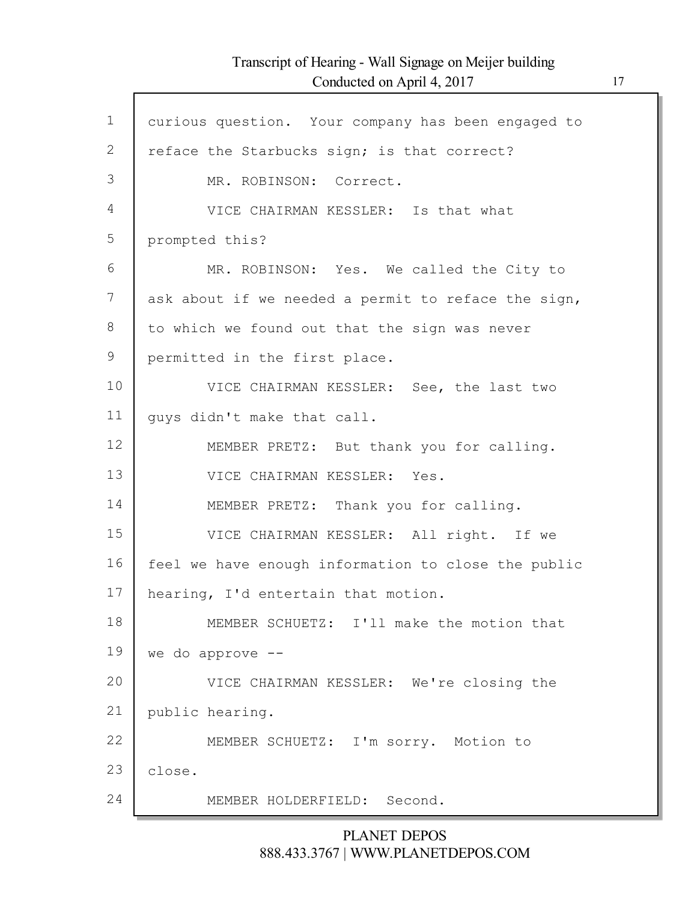Г

| $\mathbf 1$  | curious question. Your company has been engaged to  |
|--------------|-----------------------------------------------------|
| $\mathbf{2}$ | reface the Starbucks sign; is that correct?         |
| 3            | MR. ROBINSON: Correct.                              |
| 4            | VICE CHAIRMAN KESSLER: Is that what                 |
| 5            | prompted this?                                      |
| 6            | MR. ROBINSON: Yes. We called the City to            |
| 7            | ask about if we needed a permit to reface the sign, |
| 8            | to which we found out that the sign was never       |
| 9            | permitted in the first place.                       |
| 10           | VICE CHAIRMAN KESSLER: See, the last two            |
| 11           | quys didn't make that call.                         |
| 12           | MEMBER PRETZ: But thank you for calling.            |
| 13           | VICE CHAIRMAN KESSLER: Yes.                         |
| 14           | MEMBER PRETZ: Thank you for calling.                |
| 15           | VICE CHAIRMAN KESSLER: All right. If we             |
| 16           | feel we have enough information to close the public |
| 17           | hearing, I'd entertain that motion.                 |
| 18           | MEMBER SCHUETZ: I'll make the motion that           |
| 19           | we do approve --                                    |
| 20           | VICE CHAIRMAN KESSLER: We're closing the            |
| 21           | public hearing.                                     |
| 22           | MEMBER SCHUETZ: I'm sorry. Motion to                |
| 23           | close.                                              |
| 24           | MEMBER HOLDERFIELD: Second.                         |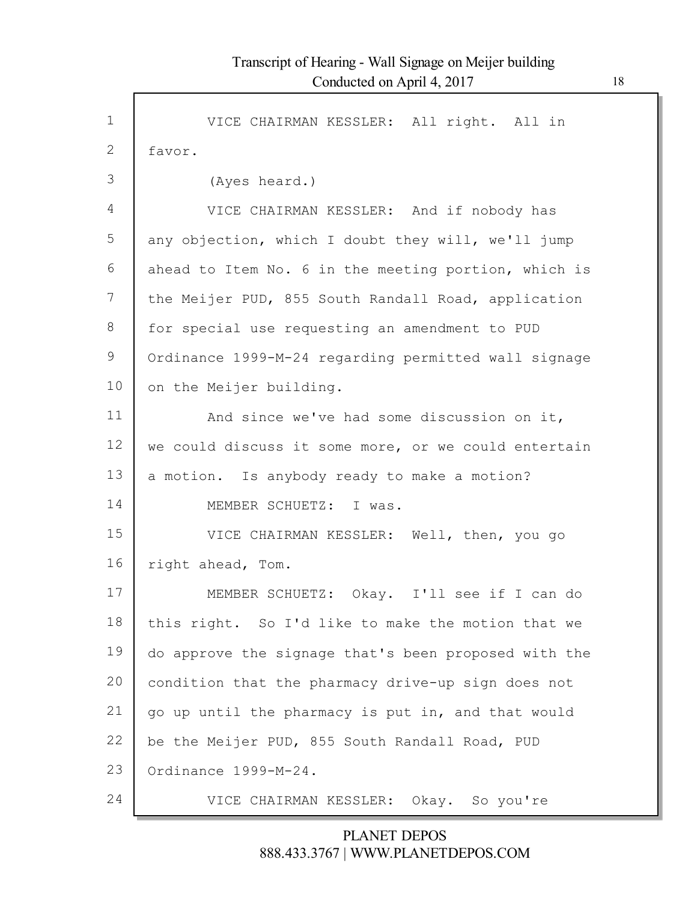Г

| $\mathbf 1$  | VICE CHAIRMAN KESSLER: All right. All in             |
|--------------|------------------------------------------------------|
| $\mathbf{2}$ | favor.                                               |
| 3            | (Ayes heard.)                                        |
| 4            | VICE CHAIRMAN KESSLER: And if nobody has             |
| 5            | any objection, which I doubt they will, we'll jump   |
| 6            | ahead to Item No. 6 in the meeting portion, which is |
| 7            | the Meijer PUD, 855 South Randall Road, application  |
| 8            | for special use requesting an amendment to PUD       |
| 9            | Ordinance 1999-M-24 regarding permitted wall signage |
| 10           | on the Meijer building.                              |
| 11           | And since we've had some discussion on it,           |
| 12           | we could discuss it some more, or we could entertain |
| 13           | a motion. Is anybody ready to make a motion?         |
| 14           | MEMBER SCHUETZ: I was.                               |
| 15           | VICE CHAIRMAN KESSLER: Well, then, you go            |
| 16           | right ahead, Tom.                                    |
| 17           | MEMBER SCHUETZ: Okay. I'll see if I can do           |
| 18           | this right. So I'd like to make the motion that we   |
| 19           | do approve the signage that's been proposed with the |
| 20           | condition that the pharmacy drive-up sign does not   |
| 21           | go up until the pharmacy is put in, and that would   |
| 22           | be the Meijer PUD, 855 South Randall Road, PUD       |
| 23           | Ordinance 1999-M-24.                                 |
| 24           | VICE CHAIRMAN KESSLER: Okay. So you're               |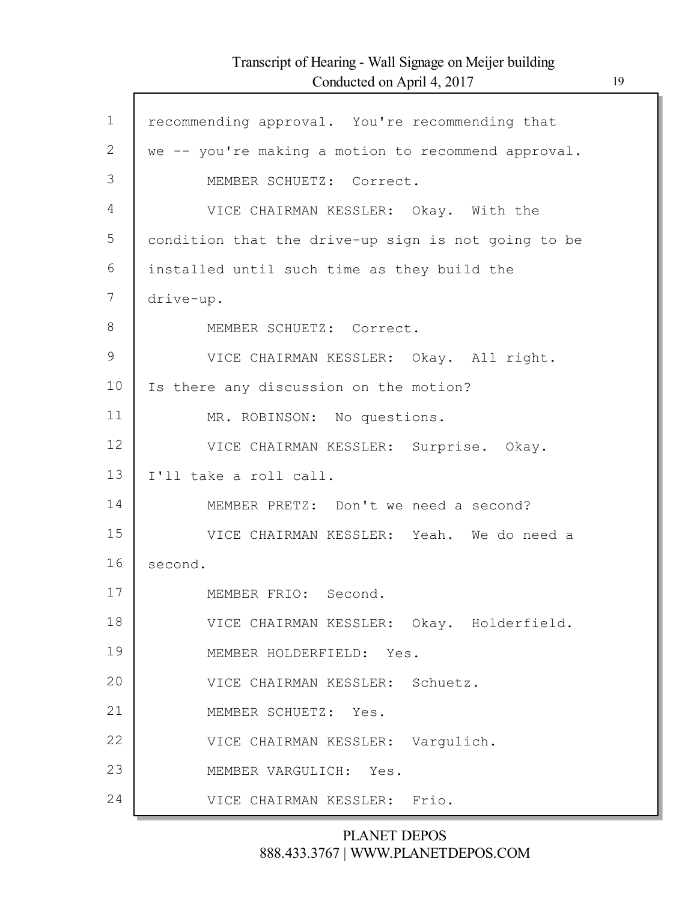Г

| $\mathbf 1$  | recommending approval. You're recommending that     |
|--------------|-----------------------------------------------------|
| $\mathbf{2}$ | we -- you're making a motion to recommend approval. |
| 3            | MEMBER SCHUETZ: Correct.                            |
| 4            | VICE CHAIRMAN KESSLER: Okay. With the               |
| 5            | condition that the drive-up sign is not going to be |
| 6            | installed until such time as they build the         |
| 7            | drive-up.                                           |
| $8\,$        | MEMBER SCHUETZ: Correct.                            |
| 9            | VICE CHAIRMAN KESSLER: Okay. All right.             |
| 10           | Is there any discussion on the motion?              |
| 11           | MR. ROBINSON: No questions.                         |
| 12           | VICE CHAIRMAN KESSLER: Surprise. Okay.              |
| 13           | I'll take a roll call.                              |
| 14           | MEMBER PRETZ: Don't we need a second?               |
| 15           | VICE CHAIRMAN KESSLER: Yeah. We do need a           |
| 16           | second.                                             |
| 17           | MEMBER FRIO: Second.                                |
| 18           | VICE CHAIRMAN KESSLER: Okay. Holderfield.           |
| 19           | MEMBER HOLDERFIELD: Yes.                            |
| 20           | VICE CHAIRMAN KESSLER: Schuetz.                     |
| 21           | MEMBER SCHUETZ: Yes.                                |
| 22           | VICE CHAIRMAN KESSLER: Vargulich.                   |
| 23           | MEMBER VARGULICH: Yes.                              |
| 24           | VICE CHAIRMAN KESSLER: Frio.                        |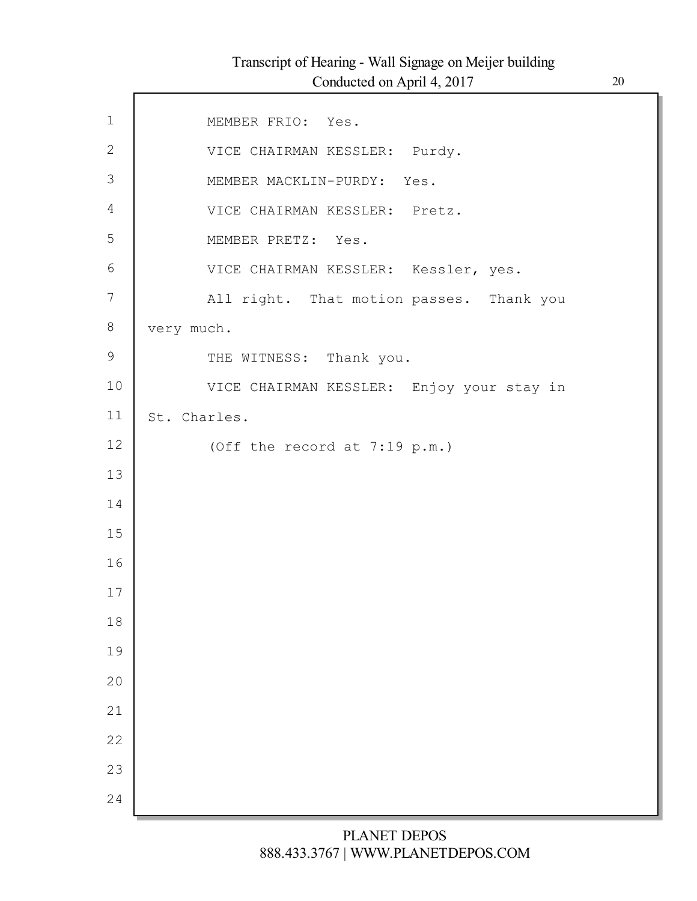| $\mathbf 1$  | MEMBER FRIO: Yes.                         |
|--------------|-------------------------------------------|
| $\mathbf{2}$ | VICE CHAIRMAN KESSLER: Purdy.             |
| 3            | MEMBER MACKLIN-PURDY: Yes.                |
| 4            | VICE CHAIRMAN KESSLER: Pretz.             |
| 5            | MEMBER PRETZ: Yes.                        |
| 6            | VICE CHAIRMAN KESSLER: Kessler, yes.      |
| 7            | All right. That motion passes. Thank you  |
| 8            | very much.                                |
| $\mathsf 9$  | THE WITNESS: Thank you.                   |
| 10           | VICE CHAIRMAN KESSLER: Enjoy your stay in |
| 11           | St. Charles.                              |
| 12           | (Off the record at 7:19 p.m.)             |
| 13           |                                           |
| 14           |                                           |
| 15           |                                           |
| 16           |                                           |
| 17           |                                           |
| 18           |                                           |
| 19           |                                           |
| 20           |                                           |
| 21           |                                           |
| 22           |                                           |
| 23           |                                           |
| 24           |                                           |
|              |                                           |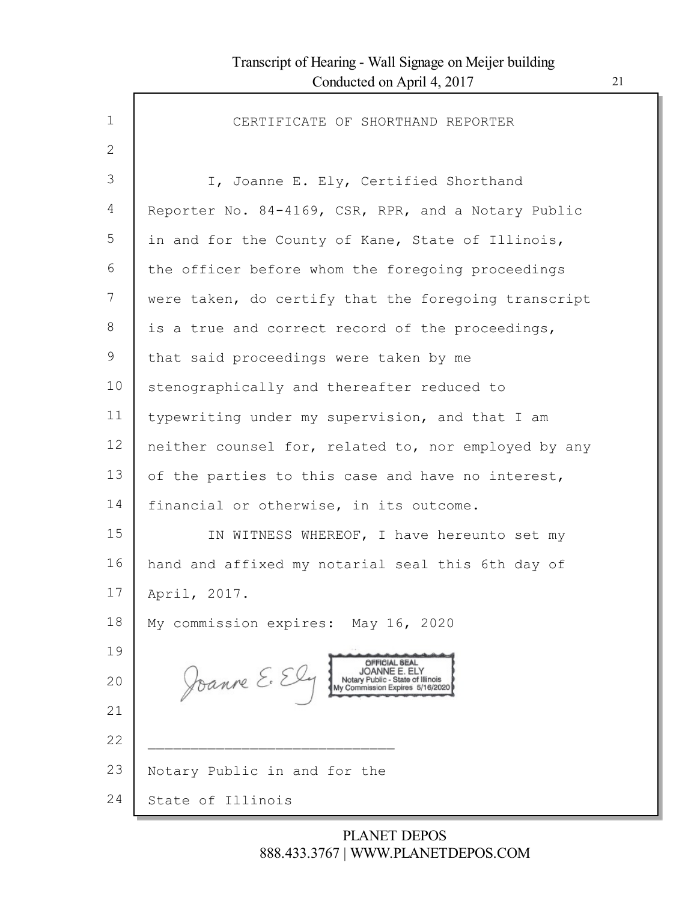| $\mathbf{1}$ | CERTIFICATE OF SHORTHAND REPORTER                                                                      |
|--------------|--------------------------------------------------------------------------------------------------------|
| 2            |                                                                                                        |
| 3            | I, Joanne E. Ely, Certified Shorthand                                                                  |
| 4            | Reporter No. 84-4169, CSR, RPR, and a Notary Public                                                    |
| 5            | in and for the County of Kane, State of Illinois,                                                      |
| 6            | the officer before whom the foregoing proceedings                                                      |
| 7            | were taken, do certify that the foregoing transcript                                                   |
| 8            | is a true and correct record of the proceedings,                                                       |
| 9            | that said proceedings were taken by me                                                                 |
| 10           | stenographically and thereafter reduced to                                                             |
| 11           | typewriting under my supervision, and that I am                                                        |
| 12           | neither counsel for, related to, nor employed by any                                                   |
| 13           | of the parties to this case and have no interest,                                                      |
| 14           | financial or otherwise, in its outcome.                                                                |
| 15           | IN WITNESS WHEREOF, I have hereunto set my                                                             |
| 16           | hand and affixed my notarial seal this 6th day of                                                      |
| 17           | April, 2017.                                                                                           |
| 18           | My commission expires: May 16, 2020                                                                    |
| 19           | OFFICIAL SEAL                                                                                          |
| 20           | Joanne E. Ely<br>JOANNE E. ELY<br>Notary Public - State of Illinois<br>My Commission Expires 5/16/2020 |
| 21           |                                                                                                        |
| 22           |                                                                                                        |
| 23           | Notary Public in and for the                                                                           |
| 24           | State of Illinois                                                                                      |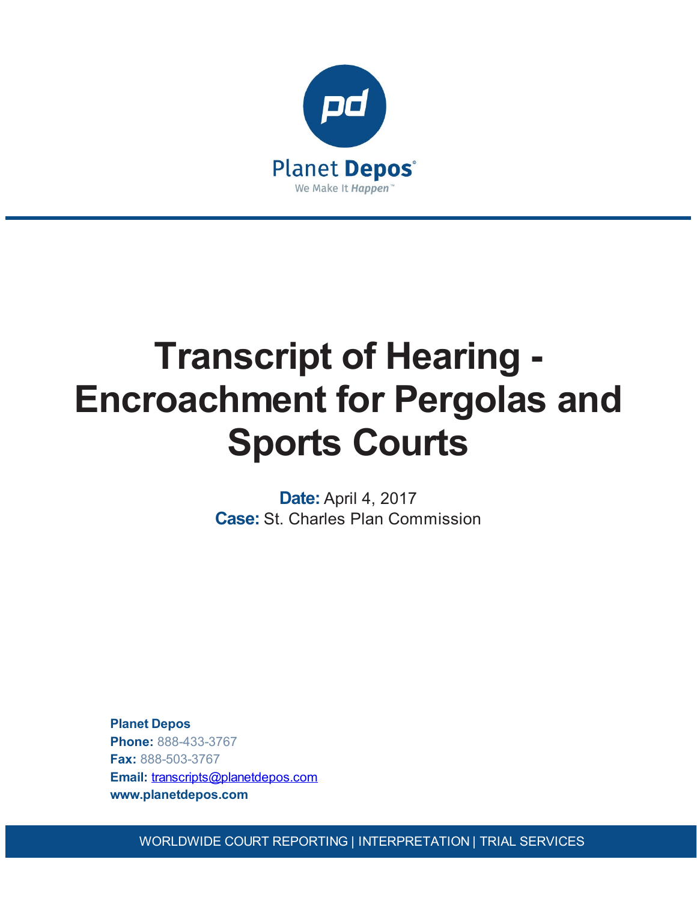

# **Transcript of Hearing - Encroachment for Pergolas and Sports Courts**

**Date:** April 4, 2017 **Case:** St. Charles Plan Commission

**Planet Depos Phone:** 888-433-3767 **Fax:** 888-503-3767 **Email:** [transcripts@planetdepos.com](mailto:transcripts@planetdepos.com) **www.planetdepos.com**

WORLDWIDE COURT REPORTING | INTERPRETATION | TRIAL SERVICES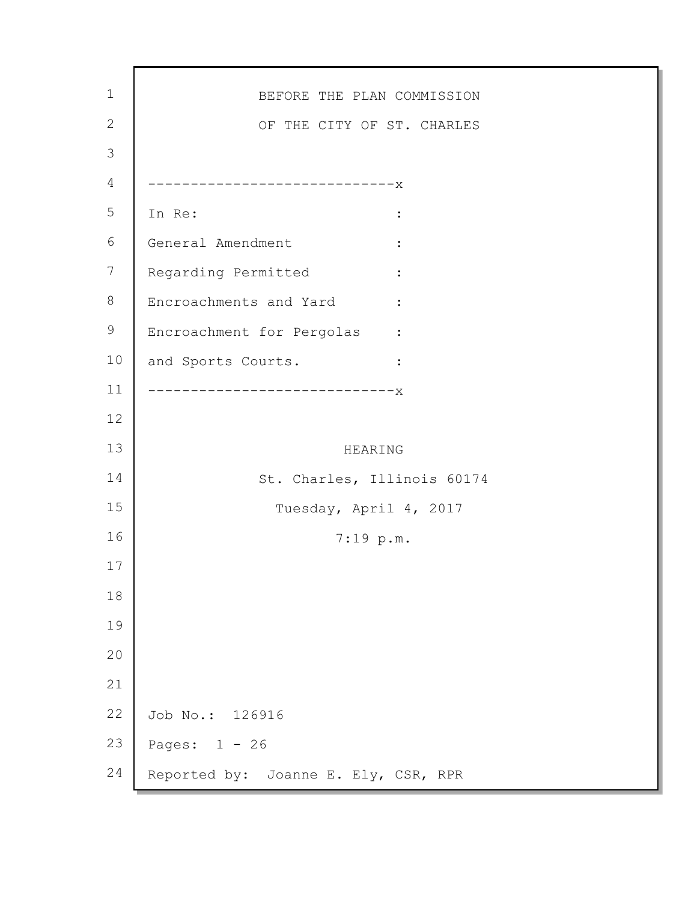| $\mathbf 1$    | BEFORE THE PLAN COMMISSION                        |
|----------------|---------------------------------------------------|
| $\mathbf{2}$   | OF THE CITY OF ST. CHARLES                        |
| $\mathfrak{Z}$ |                                                   |
| $\overline{4}$ | --------------------------X                       |
| 5              | In Re:                                            |
| 6              | General Amendment                                 |
| $\overline{7}$ | Regarding Permitted                               |
| 8              | Encroachments and Yard<br>$\ddot{\phantom{1}}$    |
| 9              | Encroachment for Pergolas<br>$\sim$ $\sim$ $\sim$ |
| 10             | and Sports Courts.<br>$\ddot{\cdot}$              |
| 11             | -------------------X                              |
| 12             |                                                   |
| 13             | HEARING                                           |
| 14             | St. Charles, Illinois 60174                       |
| 15             | Tuesday, April 4, 2017                            |
| 16             | 7:19 p.m.                                         |
| 17             |                                                   |
| 18             |                                                   |
| 19             |                                                   |
| 20             |                                                   |
| 21             |                                                   |
| 22             | Job No.: 126916                                   |
| 23             | Pages: $1 - 26$                                   |
| 24             | Reported by: Joanne E. Ely, CSR, RPR              |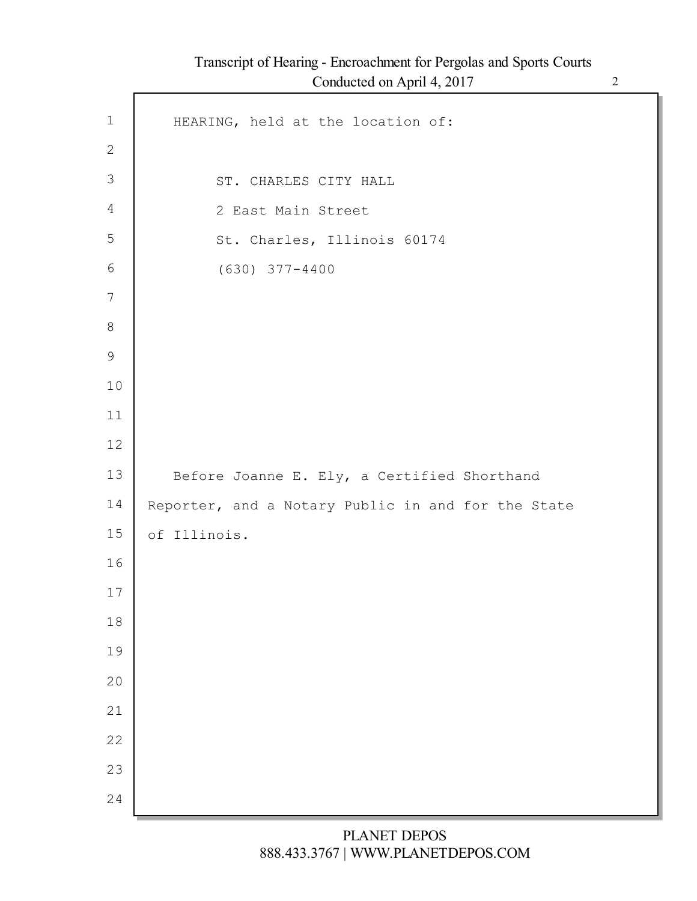|                | Conducted on April 4, 2017                         |
|----------------|----------------------------------------------------|
| $\mathbf 1$    | HEARING, held at the location of:                  |
| $\mathbf{2}$   |                                                    |
| $\mathfrak{Z}$ | ST. CHARLES CITY HALL                              |
| $\overline{4}$ | 2 East Main Street                                 |
| 5              | St. Charles, Illinois 60174                        |
| $6\,$          | $(630)$ 377-4400                                   |
| 7              |                                                    |
| $8\,$          |                                                    |
| $\mathcal{G}$  |                                                    |
| 10             |                                                    |
| 11             |                                                    |
| 12             |                                                    |
| 13             | Before Joanne E. Ely, a Certified Shorthand        |
| 14             | Reporter, and a Notary Public in and for the State |
| 15             | of Illinois.                                       |
| 16             |                                                    |
| $17$           |                                                    |
| 18             |                                                    |
| 19             |                                                    |
| 20             |                                                    |
| 21             |                                                    |
| 22             |                                                    |
|                |                                                    |
| 23             |                                                    |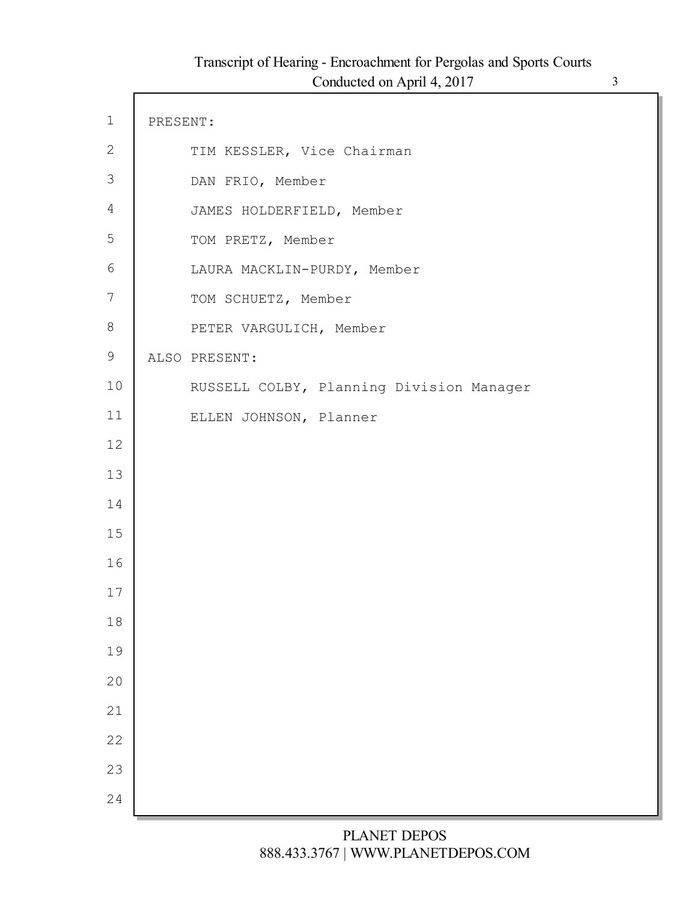$\mathsf{l}$ 

| $\mathbf 1$      | PRESENT: |                                          |
|------------------|----------|------------------------------------------|
| $\mathbf{2}$     |          | TIM KESSLER, Vice Chairman               |
| $\mathfrak{Z}$   |          | DAN FRIO, Member                         |
| $\overline{4}$   |          | JAMES HOLDERFIELD, Member                |
| 5                |          | TOM PRETZ, Member                        |
| $\sqrt{6}$       |          | LAURA MACKLIN-PURDY, Member              |
| $\boldsymbol{7}$ |          | TOM SCHUETZ, Member                      |
| 8                |          | PETER VARGULICH, Member                  |
| $\mathsf 9$      |          | ALSO PRESENT:                            |
| 10               |          | RUSSELL COLBY, Planning Division Manager |
| 11               |          | ELLEN JOHNSON, Planner                   |
| 12               |          |                                          |
| 13               |          |                                          |
| 14               |          |                                          |
| 15               |          |                                          |
| 16               |          |                                          |
| 17               |          |                                          |
| 18               |          |                                          |
| 19               |          |                                          |
| 20               |          |                                          |
| 21               |          |                                          |
| 22               |          |                                          |
| 23               |          |                                          |
| 24               |          |                                          |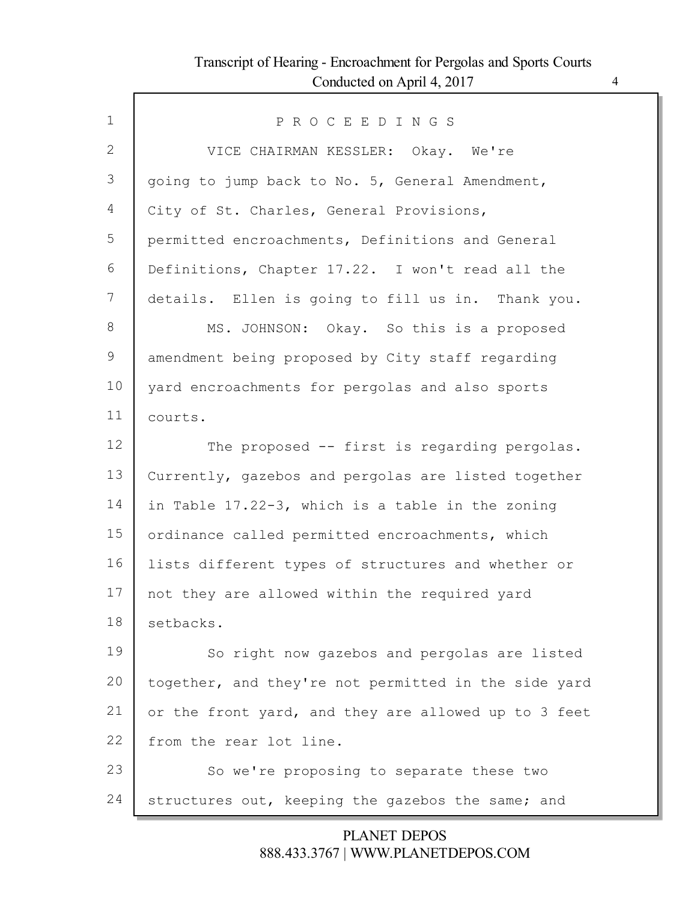Г

| $\mathbf{1}$ | PROCEEDINGS                                          |
|--------------|------------------------------------------------------|
| 2            | VICE CHAIRMAN KESSLER: Okay. We're                   |
| 3            | going to jump back to No. 5, General Amendment,      |
| 4            | City of St. Charles, General Provisions,             |
| 5            | permitted encroachments, Definitions and General     |
| 6            | Definitions, Chapter 17.22. I won't read all the     |
| 7            | details. Ellen is going to fill us in. Thank you.    |
| 8            | MS. JOHNSON: Okay. So this is a proposed             |
| 9            | amendment being proposed by City staff regarding     |
| 10           | yard encroachments for pergolas and also sports      |
| 11           | courts.                                              |
| 12           | The proposed -- first is regarding pergolas.         |
| 13           | Currently, gazebos and pergolas are listed together  |
| 14           | in Table 17.22-3, which is a table in the zoning     |
| 15           | ordinance called permitted encroachments, which      |
| 16           | lists different types of structures and whether or   |
| 17           | not they are allowed within the required yard        |
| 18           | setbacks.                                            |
| 19           | So right now gazebos and pergolas are listed         |
| 20           | together, and they're not permitted in the side yard |
| 21           | or the front yard, and they are allowed up to 3 feet |
| 22           | from the rear lot line.                              |
| 23           | So we're proposing to separate these two             |
| 24           | structures out, keeping the gazebos the same; and    |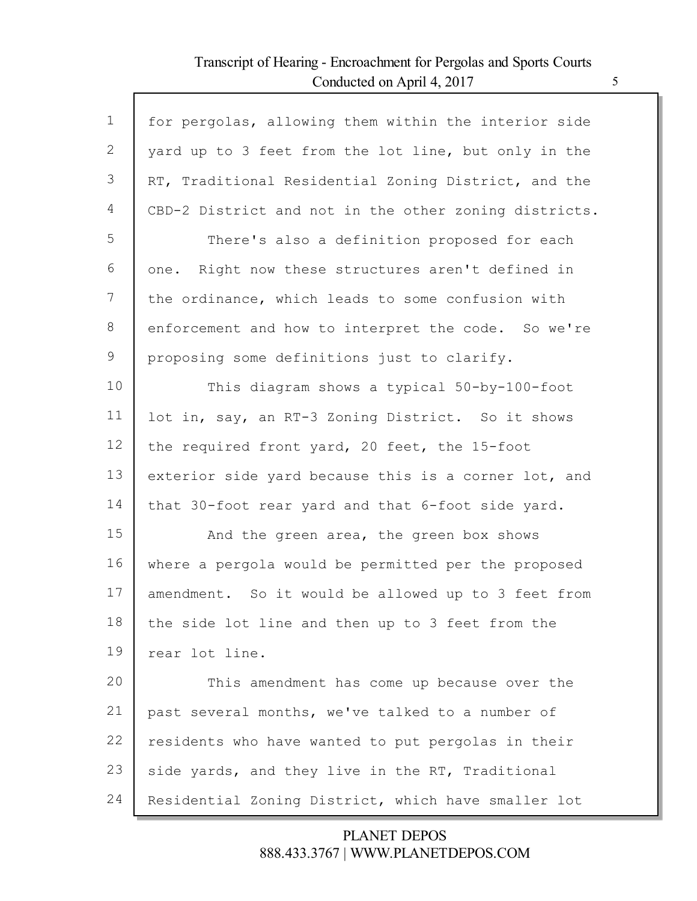Г

| $\mathbf 1$    | for pergolas, allowing them within the interior side  |
|----------------|-------------------------------------------------------|
| $\overline{2}$ | yard up to 3 feet from the lot line, but only in the  |
| 3              | RT, Traditional Residential Zoning District, and the  |
| 4              | CBD-2 District and not in the other zoning districts. |
| 5              | There's also a definition proposed for each           |
| 6              | one. Right now these structures aren't defined in     |
| 7              | the ordinance, which leads to some confusion with     |
| 8              | enforcement and how to interpret the code. So we're   |
| 9              | proposing some definitions just to clarify.           |
| 10             | This diagram shows a typical 50-by-100-foot           |
| 11             | lot in, say, an RT-3 Zoning District. So it shows     |
| 12             | the required front yard, 20 feet, the 15-foot         |
| 13             | exterior side yard because this is a corner lot, and  |
| 14             | that 30-foot rear yard and that 6-foot side yard.     |
| 15             | And the green area, the green box shows               |
| 16             | where a pergola would be permitted per the proposed   |
| 17             | amendment. So it would be allowed up to 3 feet from   |
| 18             | the side lot line and then up to 3 feet from the      |
| 19             | rear lot line.                                        |
| 20             | This amendment has come up because over the           |
| 21             | past several months, we've talked to a number of      |
| 22             | residents who have wanted to put pergolas in their    |
| 23             | side yards, and they live in the RT, Traditional      |
| 24             | Residential Zoning District, which have smaller lot   |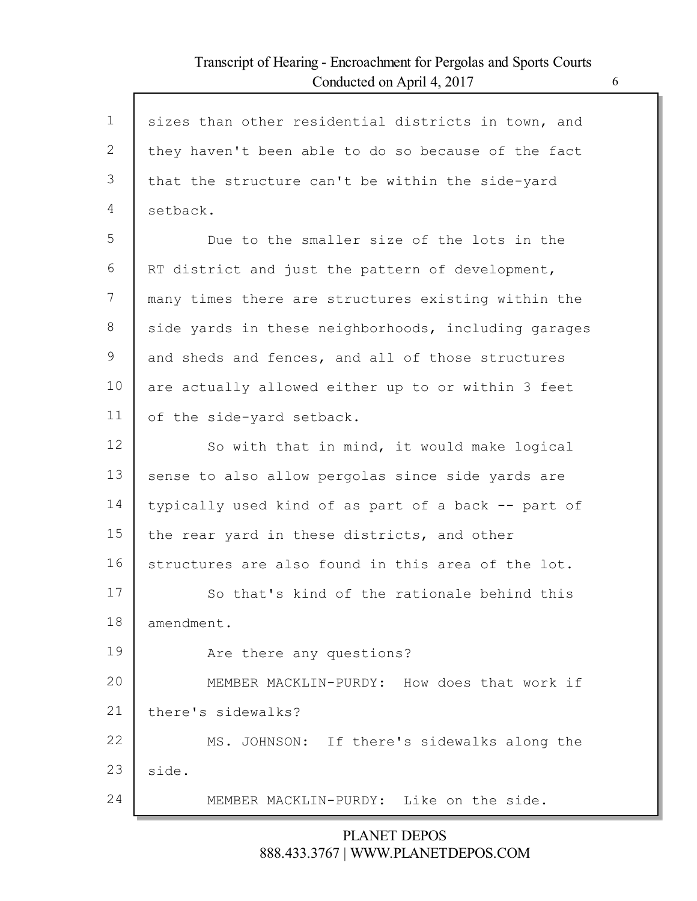Г

| $\mathbf 1$  | sizes than other residential districts in town, and  |
|--------------|------------------------------------------------------|
| $\mathbf{2}$ | they haven't been able to do so because of the fact  |
| 3            | that the structure can't be within the side-yard     |
| 4            | setback.                                             |
| 5            | Due to the smaller size of the lots in the           |
| 6            | RT district and just the pattern of development,     |
| 7            | many times there are structures existing within the  |
| 8            | side yards in these neighborhoods, including garages |
| 9            | and sheds and fences, and all of those structures    |
| 10           | are actually allowed either up to or within 3 feet   |
| 11           | of the side-yard setback.                            |
| 12           | So with that in mind, it would make logical          |
| 13           | sense to also allow pergolas since side yards are    |
| 14           | typically used kind of as part of a back -- part of  |
| 15           | the rear yard in these districts, and other          |
| 16           | structures are also found in this area of the lot.   |
| 17           | So that's kind of the rationale behind this          |
| 18           | amendment.                                           |
| 19           | Are there any questions?                             |
| 20           | MEMBER MACKLIN-PURDY: How does that work if          |
| 21           | there's sidewalks?                                   |
| 22           | MS. JOHNSON: If there's sidewalks along the          |
| 23           | side.                                                |
| 24           | MEMBER MACKLIN-PURDY: Like on the side.              |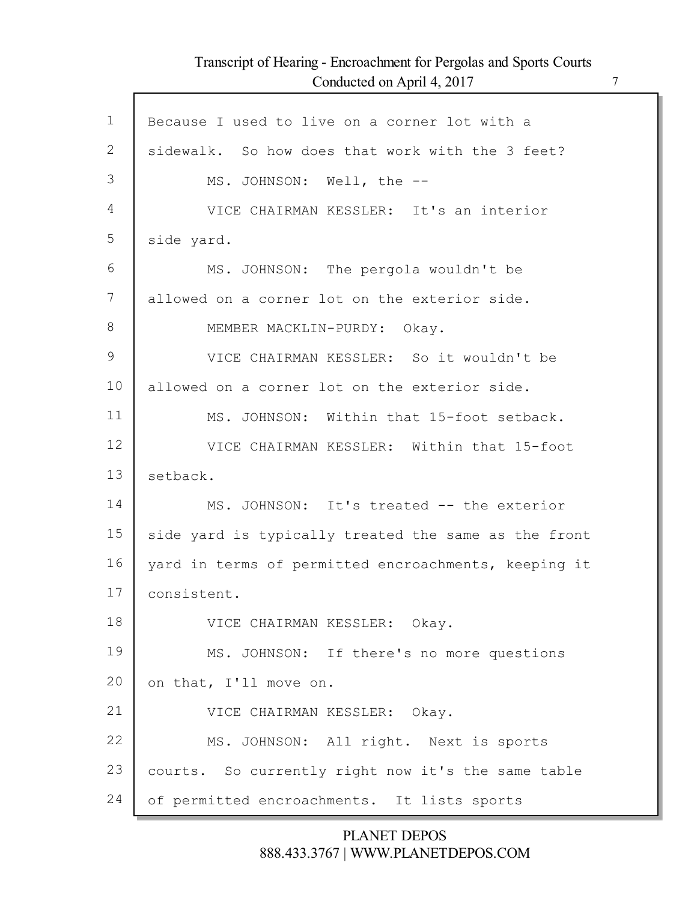Г

| $\mathbf 1$   | Because I used to live on a corner lot with a        |
|---------------|------------------------------------------------------|
| 2             | sidewalk. So how does that work with the 3 feet?     |
| 3             | MS. JOHNSON: Well, the --                            |
| 4             | VICE CHAIRMAN KESSLER: It's an interior              |
| 5             | side yard.                                           |
| 6             | MS. JOHNSON: The pergola wouldn't be                 |
| 7             | allowed on a corner lot on the exterior side.        |
| 8             | MEMBER MACKLIN-PURDY: Okay.                          |
| $\mathcal{G}$ | VICE CHAIRMAN KESSLER: So it wouldn't be             |
| 10            | allowed on a corner lot on the exterior side.        |
| 11            | MS. JOHNSON: Within that 15-foot setback.            |
| 12            | VICE CHAIRMAN KESSLER: Within that 15-foot           |
| 13            | setback.                                             |
| 14            | MS. JOHNSON: It's treated -- the exterior            |
| 15            | side yard is typically treated the same as the front |
| 16            | yard in terms of permitted encroachments, keeping it |
| 17            | consistent.                                          |
| 18            | VICE CHAIRMAN KESSLER: Okay.                         |
| 19            | MS. JOHNSON: If there's no more questions            |
| 20            | on that, I'll move on.                               |
| 21            | VICE CHAIRMAN KESSLER: Okay.                         |
| 22            | MS. JOHNSON: All right. Next is sports               |
| 23            | courts. So currently right now it's the same table   |
| 24            | of permitted encroachments. It lists sports          |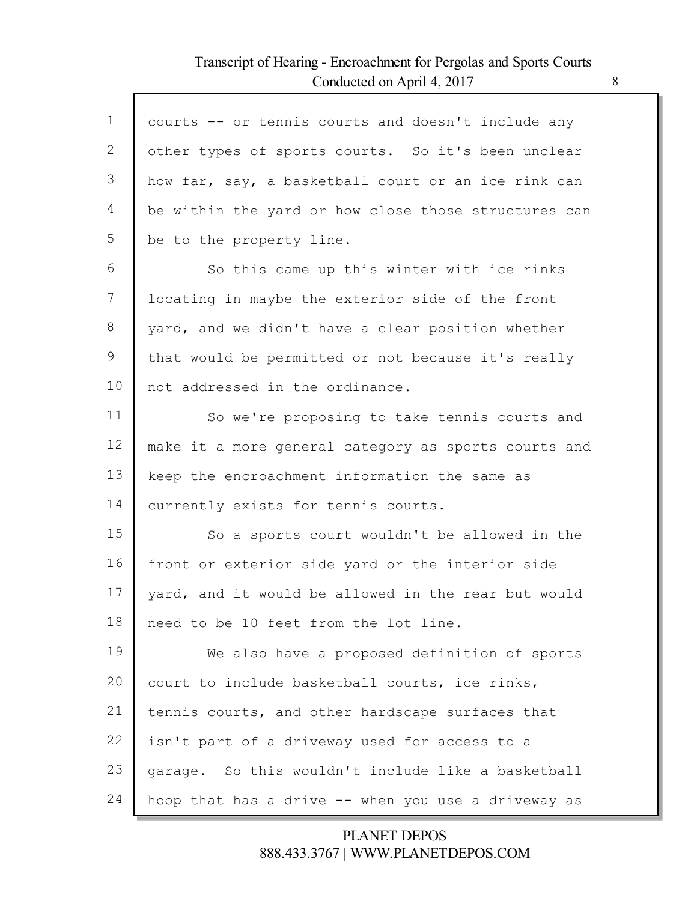Г

| $\mathbf 1$ | courts -- or tennis courts and doesn't include any   |
|-------------|------------------------------------------------------|
| 2           | other types of sports courts. So it's been unclear   |
| 3           | how far, say, a basketball court or an ice rink can  |
| 4           | be within the yard or how close those structures can |
| 5           | be to the property line.                             |
| 6           | So this came up this winter with ice rinks           |
| 7           | locating in maybe the exterior side of the front     |
| 8           | yard, and we didn't have a clear position whether    |
| 9           | that would be permitted or not because it's really   |
| 10          | not addressed in the ordinance.                      |
| 11          | So we're proposing to take tennis courts and         |
| 12          | make it a more general category as sports courts and |
| 13          | keep the encroachment information the same as        |
| 14          | currently exists for tennis courts.                  |
| 15          | So a sports court wouldn't be allowed in the         |
| 16          | front or exterior side yard or the interior side     |
| 17          | yard, and it would be allowed in the rear but would  |
| 18          | need to be 10 feet from the lot line.                |
| 19          | We also have a proposed definition of sports         |
| 20          | court to include basketball courts, ice rinks,       |
| 21          | tennis courts, and other hardscape surfaces that     |
| 22          | isn't part of a driveway used for access to a        |
| 23          | garage. So this wouldn't include like a basketball   |
| 24          | hoop that has a drive -- when you use a driveway as  |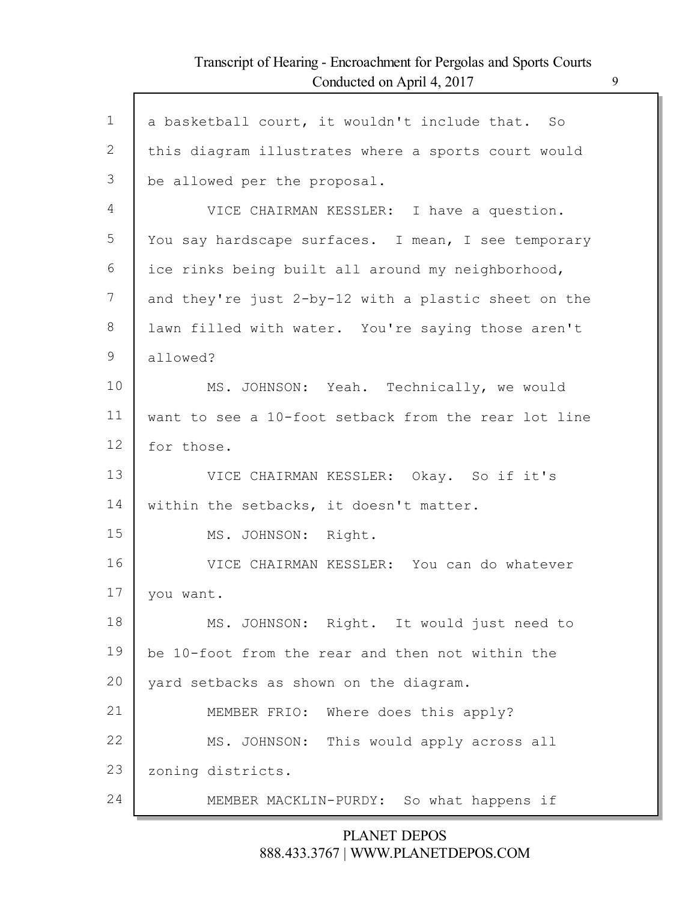Г

| $\mathbf 1$ | a basketball court, it wouldn't include that. So     |
|-------------|------------------------------------------------------|
| 2           | this diagram illustrates where a sports court would  |
| 3           | be allowed per the proposal.                         |
| 4           | VICE CHAIRMAN KESSLER: I have a question.            |
| 5           | You say hardscape surfaces. I mean, I see temporary  |
| 6           | ice rinks being built all around my neighborhood,    |
| 7           | and they're just 2-by-12 with a plastic sheet on the |
| 8           | lawn filled with water. You're saying those aren't   |
| 9           | allowed?                                             |
| 10          | MS. JOHNSON: Yeah. Technically, we would             |
| 11          | want to see a 10-foot setback from the rear lot line |
| 12          | for those.                                           |
| 13          | VICE CHAIRMAN KESSLER: Okay. So if it's              |
| 14          | within the setbacks, it doesn't matter.              |
| 15          | MS. JOHNSON: Right.                                  |
| 16          | VICE CHAIRMAN KESSLER: You can do whatever           |
| 17          | you want.                                            |
| 18          | MS. JOHNSON: Right. It would just need to            |
| 19          | be 10-foot from the rear and then not within the     |
| 20          | yard setbacks as shown on the diagram.               |
| 21          | MEMBER FRIO: Where does this apply?                  |
| 22          | MS. JOHNSON: This would apply across all             |
| 23          | zoning districts.                                    |
| 24          | MEMBER MACKLIN-PURDY: So what happens if             |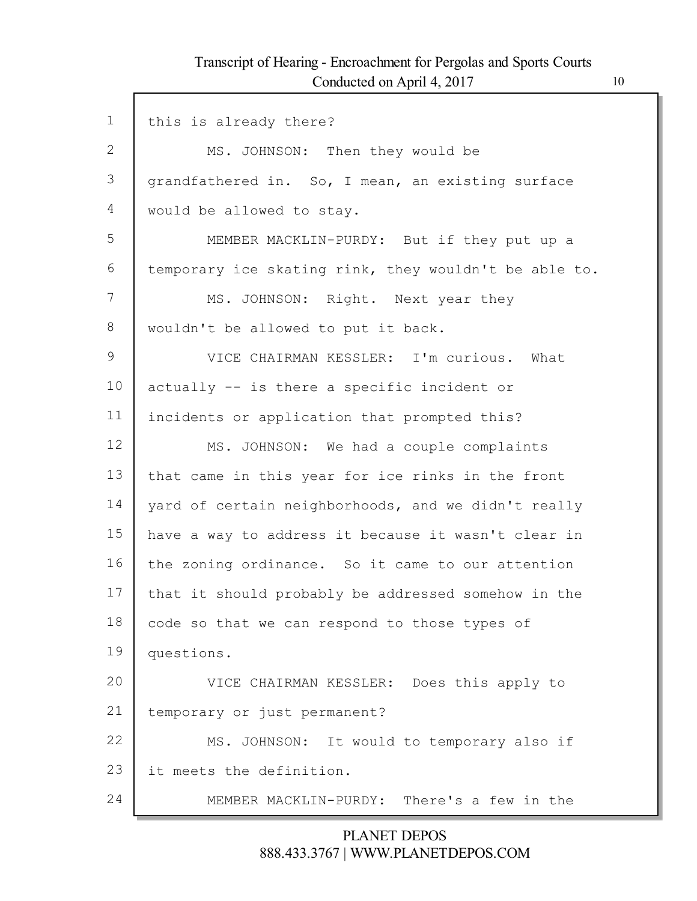Г

| $\mathbf{1}$ | this is already there?                                |
|--------------|-------------------------------------------------------|
| $\mathbf{2}$ | MS. JOHNSON: Then they would be                       |
| 3            | grandfathered in. So, I mean, an existing surface     |
| 4            | would be allowed to stay.                             |
| 5            | MEMBER MACKLIN-PURDY: But if they put up a            |
| 6            | temporary ice skating rink, they wouldn't be able to. |
| 7            | MS. JOHNSON: Right. Next year they                    |
| 8            | wouldn't be allowed to put it back.                   |
| 9            | VICE CHAIRMAN KESSLER: I'm curious. What              |
| 10           | actually -- is there a specific incident or           |
| 11           | incidents or application that prompted this?          |
| 12           | MS. JOHNSON: We had a couple complaints               |
| 13           | that came in this year for ice rinks in the front     |
| 14           | yard of certain neighborhoods, and we didn't really   |
| 15           | have a way to address it because it wasn't clear in   |
| 16           | the zoning ordinance. So it came to our attention     |
| 17           | that it should probably be addressed somehow in the   |
| 18           | code so that we can respond to those types of         |
| 19           | questions.                                            |
| 20           | VICE CHAIRMAN KESSLER: Does this apply to             |
| 21           | temporary or just permanent?                          |
| 22           | MS. JOHNSON: It would to temporary also if            |
| 23           | it meets the definition.                              |
| 24           | MEMBER MACKLIN-PURDY: There's a few in the            |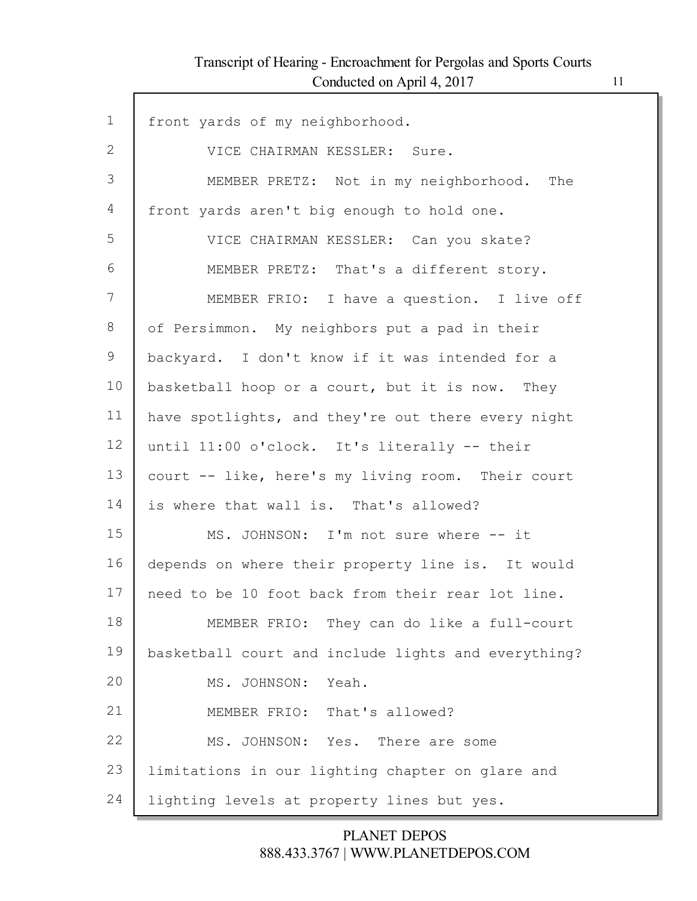Г

| $\mathbf 1$ | front yards of my neighborhood.                     |
|-------------|-----------------------------------------------------|
| 2           | VICE CHAIRMAN KESSLER: Sure.                        |
| 3           | MEMBER PRETZ: Not in my neighborhood.<br>The        |
| 4           | front yards aren't big enough to hold one.          |
| 5           | VICE CHAIRMAN KESSLER: Can you skate?               |
| 6           | MEMBER PRETZ: That's a different story.             |
| 7           | MEMBER FRIO: I have a question. I live off          |
| 8           | of Persimmon. My neighbors put a pad in their       |
| 9           | backyard. I don't know if it was intended for a     |
| 10          | basketball hoop or a court, but it is now. They     |
| 11          | have spotlights, and they're out there every night  |
| 12          | until 11:00 o'clock. It's literally -- their        |
| 13          | court -- like, here's my living room. Their court   |
| 14          | is where that wall is. That's allowed?              |
| 15          | MS. JOHNSON: I'm not sure where -- it               |
| 16          | depends on where their property line is. It would   |
| 17          | need to be 10 foot back from their rear lot line.   |
| 18          | MEMBER FRIO: They can do like a full-court          |
| 19          | basketball court and include lights and everything? |
| 20          | MS. JOHNSON:<br>Yeah.                               |
| 21          | MEMBER FRIO: That's allowed?                        |
| 22          | MS. JOHNSON: Yes. There are some                    |
| 23          | limitations in our lighting chapter on glare and    |
| 24          | lighting levels at property lines but yes.          |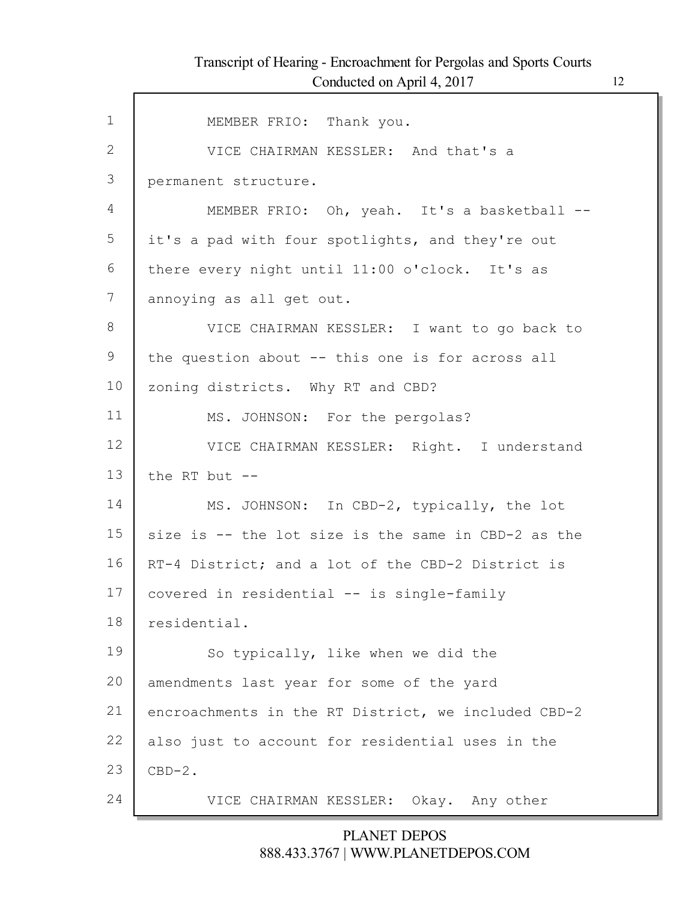| 1  | MEMBER FRIO: Thank you.                             |
|----|-----------------------------------------------------|
| 2  | VICE CHAIRMAN KESSLER: And that's a                 |
| 3  | permanent structure.                                |
| 4  | MEMBER FRIO: Oh, yeah. It's a basketball --         |
| 5  | it's a pad with four spotlights, and they're out    |
| 6  | there every night until 11:00 o'clock. It's as      |
| 7  | annoying as all get out.                            |
| 8  | VICE CHAIRMAN KESSLER: I want to go back to         |
| 9  | the question about -- this one is for across all    |
| 10 | zoning districts. Why RT and CBD?                   |
| 11 | MS. JOHNSON: For the pergolas?                      |
| 12 | VICE CHAIRMAN KESSLER: Right. I understand          |
| 13 | the RT but $--$                                     |
| 14 | MS. JOHNSON: In CBD-2, typically, the lot           |
| 15 | size is -- the lot size is the same in CBD-2 as the |
| 16 | RT-4 District; and a lot of the CBD-2 District is   |
| 17 | covered in residential -- is single-family          |
| 18 | residential.                                        |
| 19 | So typically, like when we did the                  |
| 20 | amendments last year for some of the yard           |
| 21 | encroachments in the RT District, we included CBD-2 |
| 22 | also just to account for residential uses in the    |
| 23 | $CBD-2.$                                            |
| 24 |                                                     |
|    | VICE CHAIRMAN KESSLER: Okay. Any other              |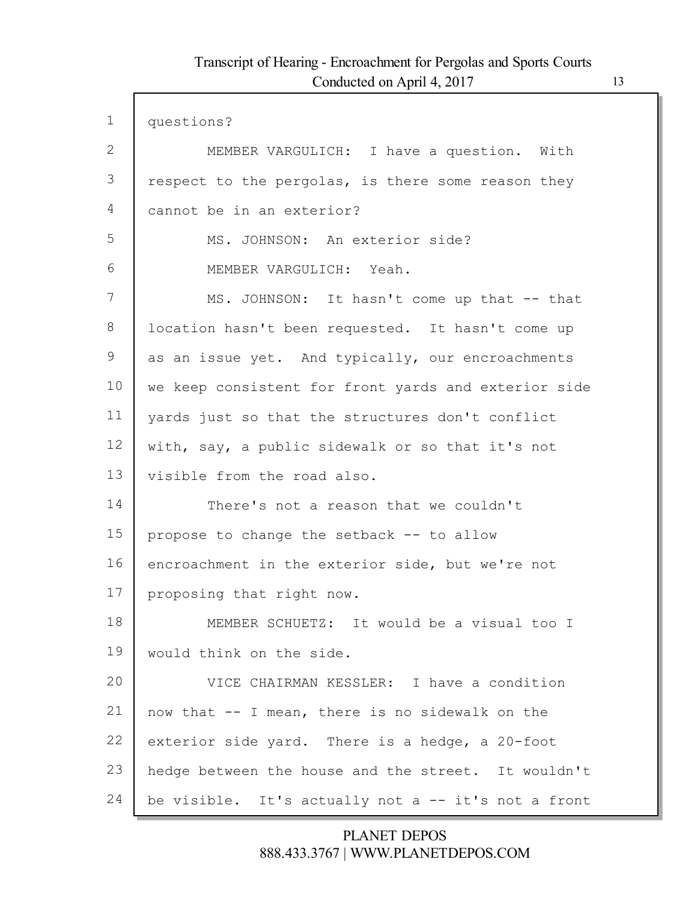| $\mathbf 1$ | questions?                                           |
|-------------|------------------------------------------------------|
| 2           | MEMBER VARGULICH: I have a question. With            |
| 3           | respect to the pergolas, is there some reason they   |
| 4           | cannot be in an exterior?                            |
| 5           | MS. JOHNSON: An exterior side?                       |
| 6           | MEMBER VARGULICH: Yeah.                              |
| 7           | MS. JOHNSON: It hasn't come up that -- that          |
| 8           | location hasn't been requested. It hasn't come up    |
| 9           | as an issue yet. And typically, our encroachments    |
| 10          | we keep consistent for front yards and exterior side |
| 11          | yards just so that the structures don't conflict     |
| 12          | with, say, a public sidewalk or so that it's not     |
| 13          | visible from the road also.                          |
| 14          | There's not a reason that we couldn't                |
| 15          | propose to change the setback -- to allow            |
| 16          | encroachment in the exterior side, but we're not     |
| 17          | proposing that right now.                            |
| 18          | MEMBER SCHUETZ: It would be a visual too I           |
| 19          | would think on the side.                             |
| 20          | VICE CHAIRMAN KESSLER: I have a condition            |
| 21          | now that -- I mean, there is no sidewalk on the      |
| 22          | exterior side yard. There is a hedge, a 20-foot      |
| 23          | hedge between the house and the street. It wouldn't  |
| 24          | be visible. It's actually not a -- it's not a front  |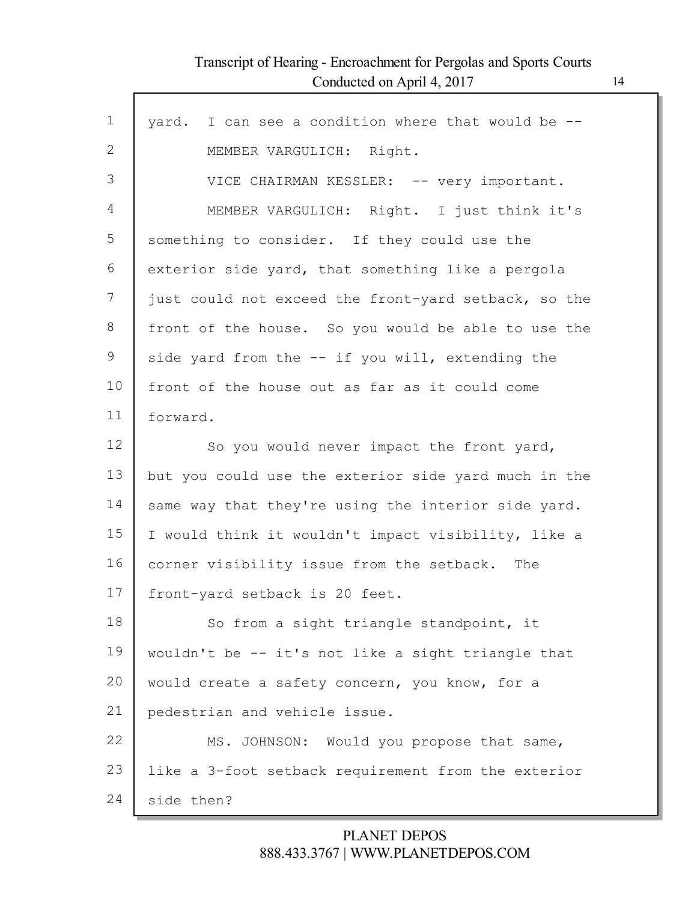Г

| $\mathbf{1}$ | yard. I can see a condition where that would be --   |
|--------------|------------------------------------------------------|
| 2            | MEMBER VARGULICH: Right.                             |
| 3            | VICE CHAIRMAN KESSLER: -- very important.            |
| 4            | MEMBER VARGULICH: Right. I just think it's           |
| 5            | something to consider. If they could use the         |
| 6            | exterior side yard, that something like a pergola    |
| 7            | just could not exceed the front-yard setback, so the |
| 8            | front of the house. So you would be able to use the  |
| 9            | side yard from the -- if you will, extending the     |
| 10           | front of the house out as far as it could come       |
| 11           | forward.                                             |
| 12           | So you would never impact the front yard,            |
| 13           | but you could use the exterior side yard much in the |
| 14           | same way that they're using the interior side yard.  |
| 15           | I would think it wouldn't impact visibility, like a  |
| 16           |                                                      |
|              | corner visibility issue from the setback. The        |
| 17           | front-yard setback is 20 feet.                       |
| 18           | So from a sight triangle standpoint, it              |
| 19           | wouldn't be -- it's not like a sight triangle that   |
| 20           | would create a safety concern, you know, for a       |
| 21           | pedestrian and vehicle issue.                        |
| 22           | MS. JOHNSON: Would you propose that same,            |
| 23           | like a 3-foot setback requirement from the exterior  |
| 24           | side then?                                           |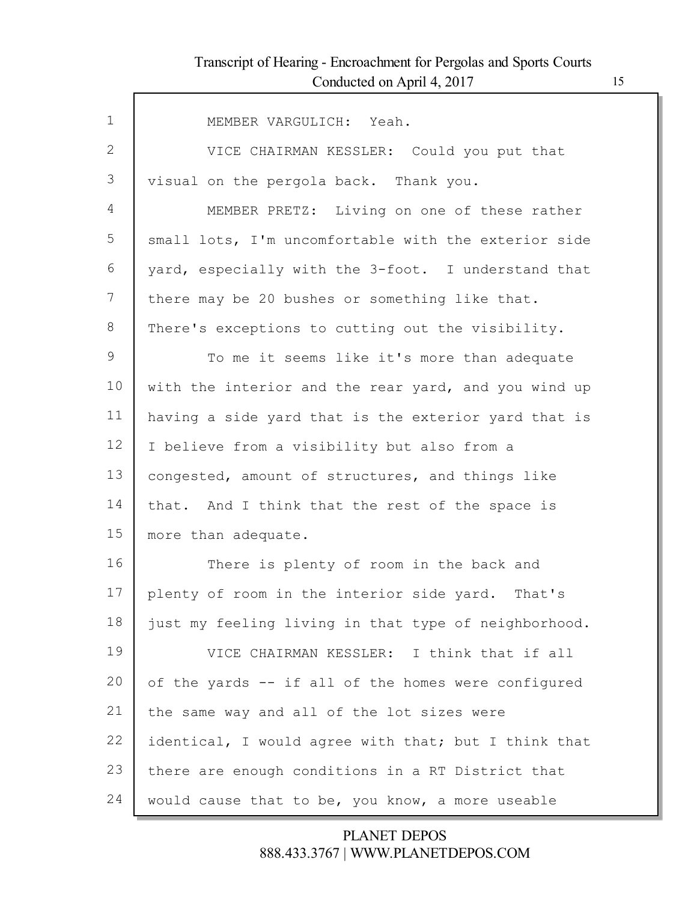Г

| $\mathbf{1}$ | MEMBER VARGULICH: Yeah.                              |
|--------------|------------------------------------------------------|
| 2            | VICE CHAIRMAN KESSLER: Could you put that            |
| 3            | visual on the pergola back. Thank you.               |
| 4            | MEMBER PRETZ: Living on one of these rather          |
| 5            | small lots, I'm uncomfortable with the exterior side |
| 6            | yard, especially with the 3-foot. I understand that  |
| 7            | there may be 20 bushes or something like that.       |
| 8            | There's exceptions to cutting out the visibility.    |
| 9            | To me it seems like it's more than adequate          |
| 10           | with the interior and the rear yard, and you wind up |
| 11           | having a side yard that is the exterior yard that is |
| 12           | I believe from a visibility but also from a          |
| 13           | congested, amount of structures, and things like     |
| 14           | that. And I think that the rest of the space is      |
| 15           | more than adequate.                                  |
| 16           | There is plenty of room in the back and              |
| 17           | plenty of room in the interior side yard. That's     |
| 18           | just my feeling living in that type of neighborhood. |
| 19           | VICE CHAIRMAN KESSLER: I think that if all           |
| 20           | of the yards -- if all of the homes were configured  |
| 21           | the same way and all of the lot sizes were           |
| 22           | identical, I would agree with that; but I think that |
| 23           | there are enough conditions in a RT District that    |
| 24           | would cause that to be, you know, a more useable     |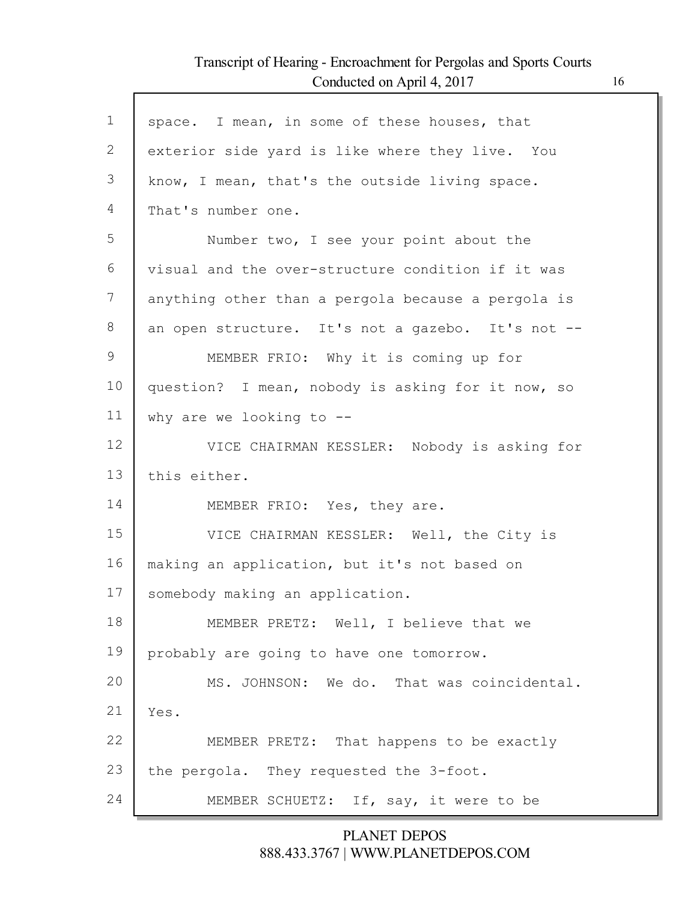Г

| $\mathbf 1$ | space. I mean, in some of these houses, that       |
|-------------|----------------------------------------------------|
| 2           | exterior side yard is like where they live. You    |
| 3           | know, I mean, that's the outside living space.     |
| 4           | That's number one.                                 |
| 5           | Number two, I see your point about the             |
| 6           | visual and the over-structure condition if it was  |
| 7           | anything other than a pergola because a pergola is |
| 8           | an open structure. It's not a gazebo. It's not --  |
| 9           | MEMBER FRIO: Why it is coming up for               |
| 10          | question? I mean, nobody is asking for it now, so  |
| 11          | why are we looking to $-$ -                        |
| 12          | VICE CHAIRMAN KESSLER: Nobody is asking for        |
| 13          | this either.                                       |
| 14          | MEMBER FRIO: Yes, they are.                        |
| 15          | VICE CHAIRMAN KESSLER: Well, the City is           |
| 16          | making an application, but it's not based on       |
| 17          | somebody making an application.                    |
| 18          | MEMBER PRETZ: Well, I believe that we              |
| 19          | probably are going to have one tomorrow.           |
| 20          | MS. JOHNSON: We do. That was coincidental.         |
| 21          | Yes.                                               |
| 22          | MEMBER PRETZ: That happens to be exactly           |
| 23          | the pergola. They requested the 3-foot.            |
| 24          | MEMBER SCHUETZ: If, say, it were to be             |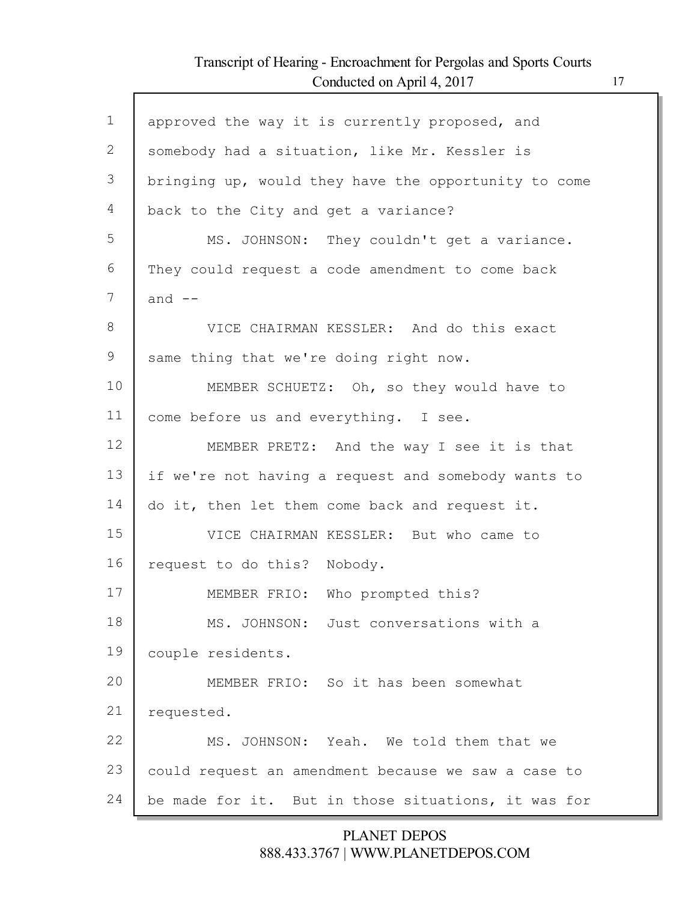Г

| $\mathbf 1$  | approved the way it is currently proposed, and       |
|--------------|------------------------------------------------------|
| $\mathbf{2}$ | somebody had a situation, like Mr. Kessler is        |
| 3            | bringing up, would they have the opportunity to come |
| 4            | back to the City and get a variance?                 |
| 5            | MS. JOHNSON: They couldn't get a variance.           |
| 6            | They could request a code amendment to come back     |
| 7            | and $--$                                             |
| 8            | VICE CHAIRMAN KESSLER: And do this exact             |
| 9            | same thing that we're doing right now.               |
| 10           | MEMBER SCHUETZ: Oh, so they would have to            |
| 11           | come before us and everything. I see.                |
| 12           | MEMBER PRETZ: And the way I see it is that           |
| 13           | if we're not having a request and somebody wants to  |
| 14           | do it, then let them come back and request it.       |
| 15           | VICE CHAIRMAN KESSLER: But who came to               |
| 16           | request to do this? Nobody.                          |
| 17           | MEMBER FRIO: Who prompted this?                      |
| 18           | MS. JOHNSON: Just conversations with a               |
| 19           | couple residents.                                    |
| 20           | MEMBER FRIO: So it has been somewhat                 |
| 21           | requested.                                           |
| 22           | MS. JOHNSON: Yeah. We told them that we              |
| 23           | could request an amendment because we saw a case to  |
| 24           | be made for it. But in those situations, it was for  |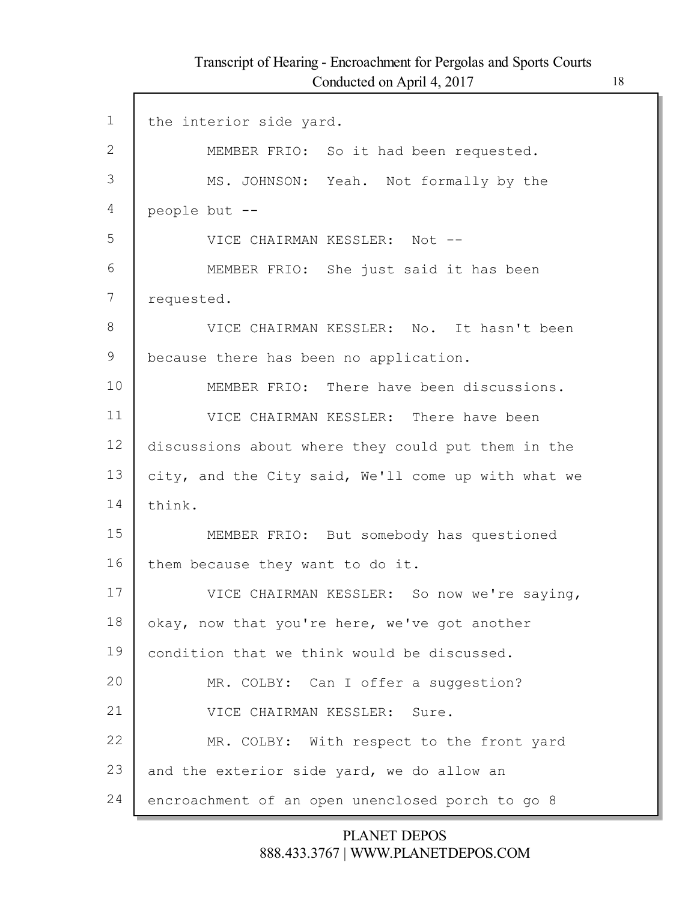Г

| $\mathbf 1$ | the interior side yard.                             |
|-------------|-----------------------------------------------------|
| 2           | MEMBER FRIO: So it had been requested.              |
| 3           | MS. JOHNSON: Yeah. Not formally by the              |
| 4           | people but --                                       |
| 5           | VICE CHAIRMAN KESSLER: Not --                       |
| 6           | MEMBER FRIO: She just said it has been              |
| 7           | requested.                                          |
| 8           | VICE CHAIRMAN KESSLER: No. It hasn't been           |
| 9           | because there has been no application.              |
| 10          | MEMBER FRIO: There have been discussions.           |
| 11          | VICE CHAIRMAN KESSLER: There have been              |
| 12          | discussions about where they could put them in the  |
| 13          | city, and the City said, We'll come up with what we |
| 14          | think.                                              |
| 15          | MEMBER FRIO: But somebody has questioned            |
| 16          | them because they want to do it.                    |
| 17          | VICE CHAIRMAN KESSLER: So now we're saying,         |
| 18          | okay, now that you're here, we've got another       |
| 19          | condition that we think would be discussed.         |
| 20          | MR. COLBY: Can I offer a suggestion?                |
| 21          | VICE CHAIRMAN KESSLER: Sure.                        |
| 22          | MR. COLBY: With respect to the front yard           |
| 23          | and the exterior side yard, we do allow an          |
| 24          | encroachment of an open unenclosed porch to go 8    |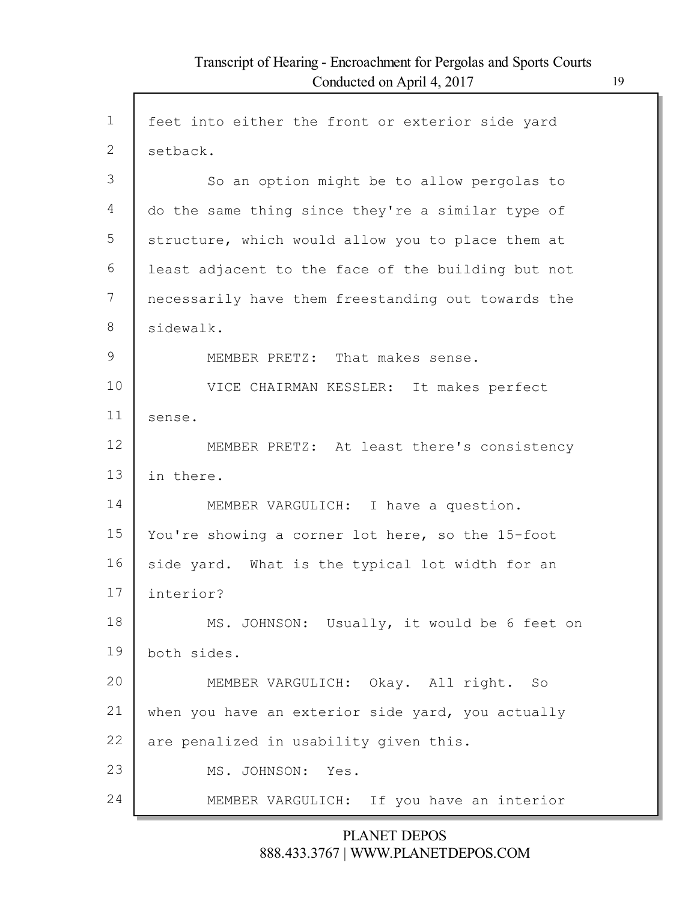Г

| $\mathbf 1$  |                                                    |
|--------------|----------------------------------------------------|
|              | feet into either the front or exterior side yard   |
| $\mathbf{2}$ | setback.                                           |
| 3            | So an option might be to allow pergolas to         |
| 4            | do the same thing since they're a similar type of  |
| 5            | structure, which would allow you to place them at  |
| 6            | least adjacent to the face of the building but not |
| 7            | necessarily have them freestanding out towards the |
| 8            | sidewalk.                                          |
| 9            | MEMBER PRETZ: That makes sense.                    |
| 10           | VICE CHAIRMAN KESSLER: It makes perfect            |
| 11           | sense.                                             |
| 12           | MEMBER PRETZ: At least there's consistency         |
| 13           | in there.                                          |
| 14           | MEMBER VARGULICH: I have a question.               |
| 15           | You're showing a corner lot here, so the 15-foot   |
| 16           | side yard. What is the typical lot width for an    |
| 17           | interior?                                          |
| 18           | MS. JOHNSON: Usually, it would be 6 feet on        |
| 19           | both sides.                                        |
| 20           | MEMBER VARGULICH: Okay. All right. So              |
| 21           | when you have an exterior side yard, you actually  |
| 22           | are penalized in usability given this.             |
| 23           | MS. JOHNSON: Yes.                                  |
| 24           | MEMBER VARGULICH: If you have an interior          |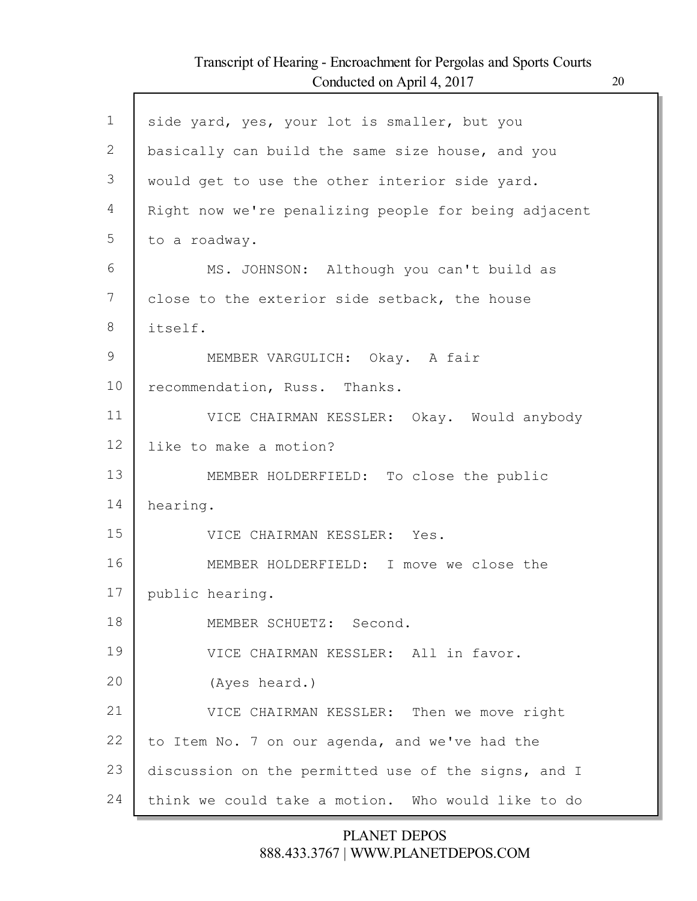Г

| $\mathbf 1$   | side yard, yes, your lot is smaller, but you         |
|---------------|------------------------------------------------------|
| $\mathbf{2}$  | basically can build the same size house, and you     |
| 3             | would get to use the other interior side yard.       |
| 4             | Right now we're penalizing people for being adjacent |
| 5             | to a roadway.                                        |
| 6             | MS. JOHNSON: Although you can't build as             |
| 7             | close to the exterior side setback, the house        |
| 8             | itself.                                              |
| $\mathcal{G}$ | MEMBER VARGULICH: Okay. A fair                       |
| 10            | recommendation, Russ. Thanks.                        |
| 11            | VICE CHAIRMAN KESSLER: Okay. Would anybody           |
| 12            | like to make a motion?                               |
| 13            | MEMBER HOLDERFIELD: To close the public              |
| 14            | hearing.                                             |
| 15            | VICE CHAIRMAN KESSLER: Yes.                          |
| 16            | MEMBER HOLDERFIELD: I move we close the              |
| 17            | public hearing.                                      |
| 18            | MEMBER SCHUETZ: Second.                              |
| 19            | VICE CHAIRMAN KESSLER: All in favor.                 |
| 20            | (Ayes heard.)                                        |
| 21            | VICE CHAIRMAN KESSLER: Then we move right            |
| 22            | to Item No. 7 on our agenda, and we've had the       |
| 23            | discussion on the permitted use of the signs, and I  |
| 24            | think we could take a motion. Who would like to do   |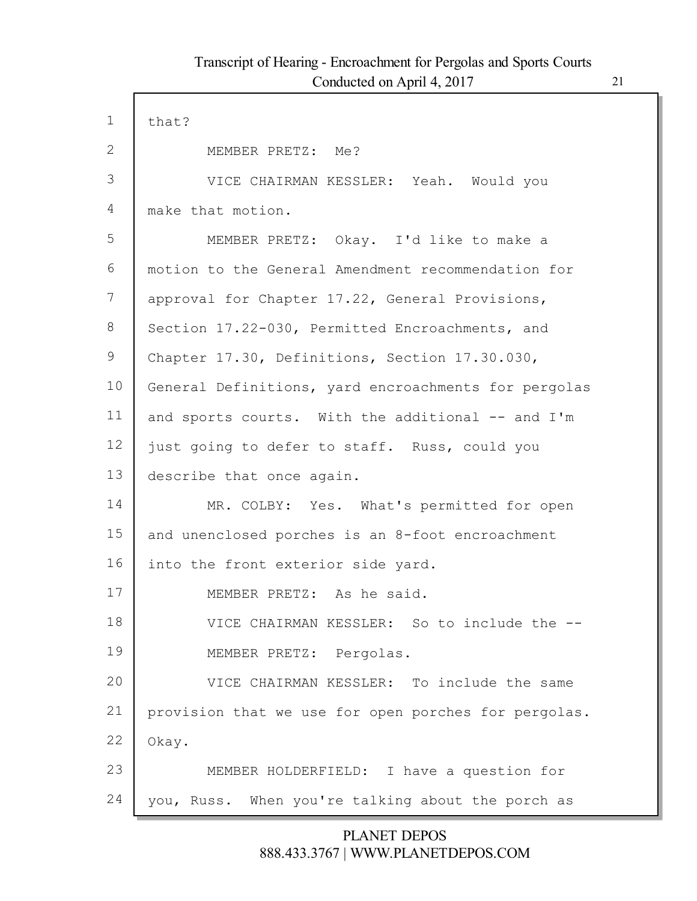Г

| $\mathbf{1}$ | that?                                                |
|--------------|------------------------------------------------------|
| $\mathbf{2}$ | MEMBER PRETZ: Me?                                    |
| 3            | VICE CHAIRMAN KESSLER: Yeah. Would you               |
| 4            | make that motion.                                    |
| 5            | MEMBER PRETZ: Okay. I'd like to make a               |
| 6            | motion to the General Amendment recommendation for   |
| 7            | approval for Chapter 17.22, General Provisions,      |
| 8            | Section 17.22-030, Permitted Encroachments, and      |
| 9            | Chapter 17.30, Definitions, Section 17.30.030,       |
| 10           | General Definitions, yard encroachments for pergolas |
| 11           | and sports courts. With the additional -- and I'm    |
| 12           | just going to defer to staff. Russ, could you        |
| 13           | describe that once again.                            |
| 14           | MR. COLBY: Yes. What's permitted for open            |
| 15           | and unenclosed porches is an 8-foot encroachment     |
| 16           | into the front exterior side yard.                   |
| 17           | MEMBER PRETZ: As he said.                            |
| 18           | VICE CHAIRMAN KESSLER: So to include the --          |
| 19           | MEMBER PRETZ: Pergolas.                              |
| 20           | VICE CHAIRMAN KESSLER: To include the same           |
| 21           | provision that we use for open porches for pergolas. |
| 22           | Okay.                                                |
| 23           | MEMBER HOLDERFIELD: I have a question for            |
| 24           | you, Russ. When you're talking about the porch as    |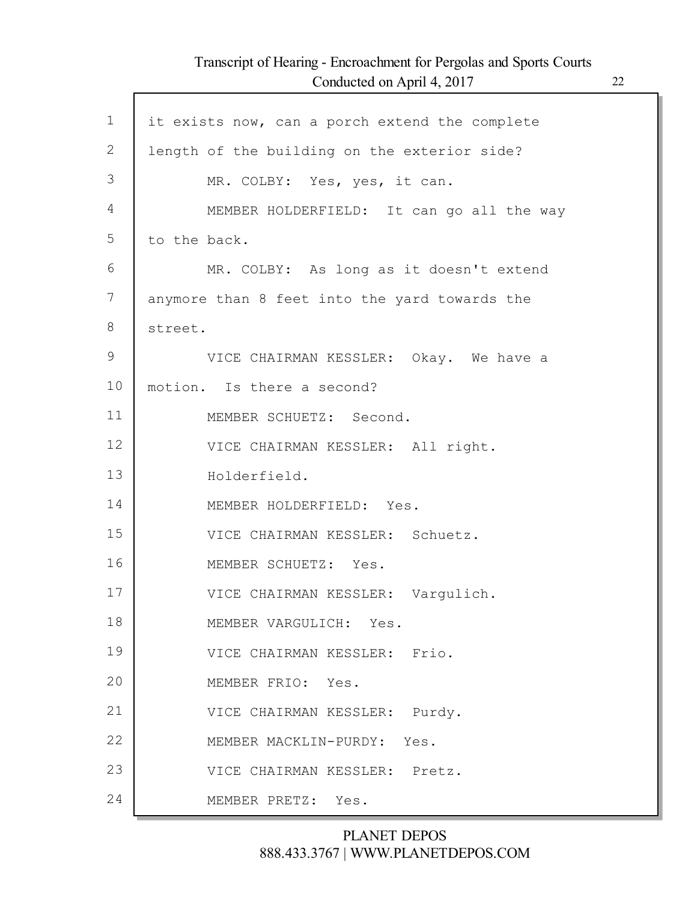Г

| $\mathbf 1$  | it exists now, can a porch extend the complete |
|--------------|------------------------------------------------|
| $\mathbf{2}$ | length of the building on the exterior side?   |
| 3            | MR. COLBY: Yes, yes, it can.                   |
| 4            | MEMBER HOLDERFIELD: It can go all the way      |
| 5            | to the back.                                   |
| 6            | MR. COLBY: As long as it doesn't extend        |
| 7            | anymore than 8 feet into the yard towards the  |
| 8            | street.                                        |
| 9            | VICE CHAIRMAN KESSLER: Okay. We have a         |
| 10           | motion. Is there a second?                     |
| 11           | MEMBER SCHUETZ: Second.                        |
| 12           | VICE CHAIRMAN KESSLER: All right.              |
| 13           | Holderfield.                                   |
| 14           | MEMBER HOLDERFIELD: Yes.                       |
| 15           | VICE CHAIRMAN KESSLER: Schuetz.                |
| 16           | MEMBER SCHUETZ: Yes.                           |
| 17           | VICE CHAIRMAN KESSLER: Vargulich.              |
| 18           | MEMBER VARGULICH: Yes.                         |
| 19           | VICE CHAIRMAN KESSLER: Frio.                   |
| 20           | MEMBER FRIO: Yes.                              |
| 21           | VICE CHAIRMAN KESSLER: Purdy.                  |
| 22           | MEMBER MACKLIN-PURDY: Yes.                     |
| 23           | VICE CHAIRMAN KESSLER: Pretz.                  |
| 24           | MEMBER PRETZ: Yes.                             |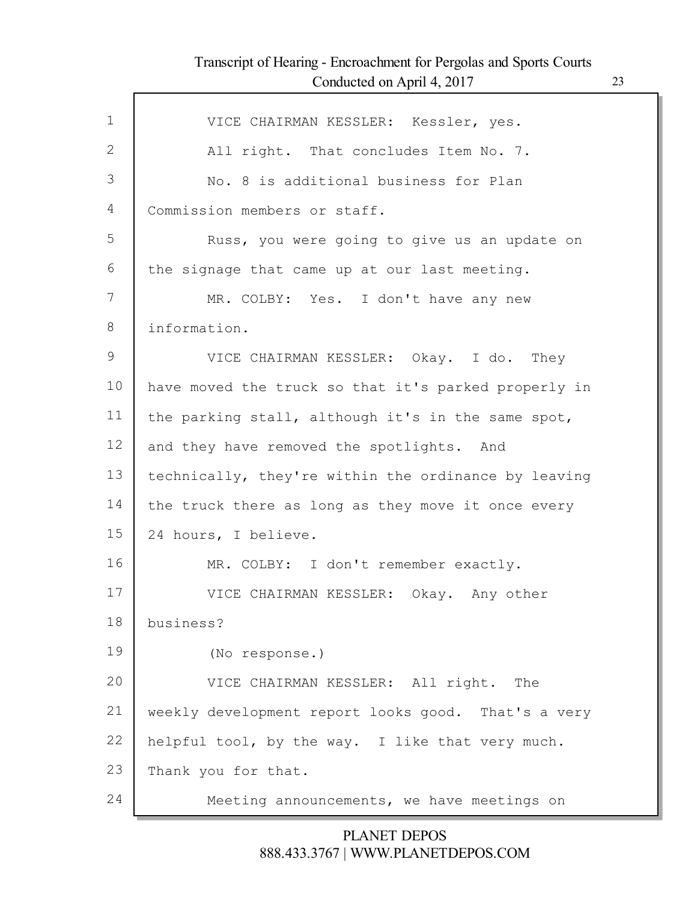Г

| $\mathbf 1$ | VICE CHAIRMAN KESSLER: Kessler, yes.                 |
|-------------|------------------------------------------------------|
| 2           | All right. That concludes Item No. 7.                |
| 3           | No. 8 is additional business for Plan                |
| 4           | Commission members or staff.                         |
| 5           | Russ, you were going to give us an update on         |
| 6           | the signage that came up at our last meeting.        |
| 7           | MR. COLBY: Yes. I don't have any new                 |
| 8           | information.                                         |
| 9           | VICE CHAIRMAN KESSLER: Okay. I do. They              |
| 10          | have moved the truck so that it's parked properly in |
| 11          | the parking stall, although it's in the same spot,   |
| 12          | and they have removed the spotlights. And            |
| 13          | technically, they're within the ordinance by leaving |
| 14          | the truck there as long as they move it once every   |
| 15          | 24 hours, I believe.                                 |
| 16          | MR. COLBY: I don't remember exactly.                 |
| 17          | VICE CHAIRMAN KESSLER: Okay. Any other               |
| 18          | business?                                            |
| 19          |                                                      |
|             | (No response.)                                       |
| 20          | VICE CHAIRMAN KESSLER: All right. The                |
| 21          | weekly development report looks good. That's a very  |
| 22          | helpful tool, by the way. I like that very much.     |
| 23          | Thank you for that.                                  |
| 24          | Meeting announcements, we have meetings on           |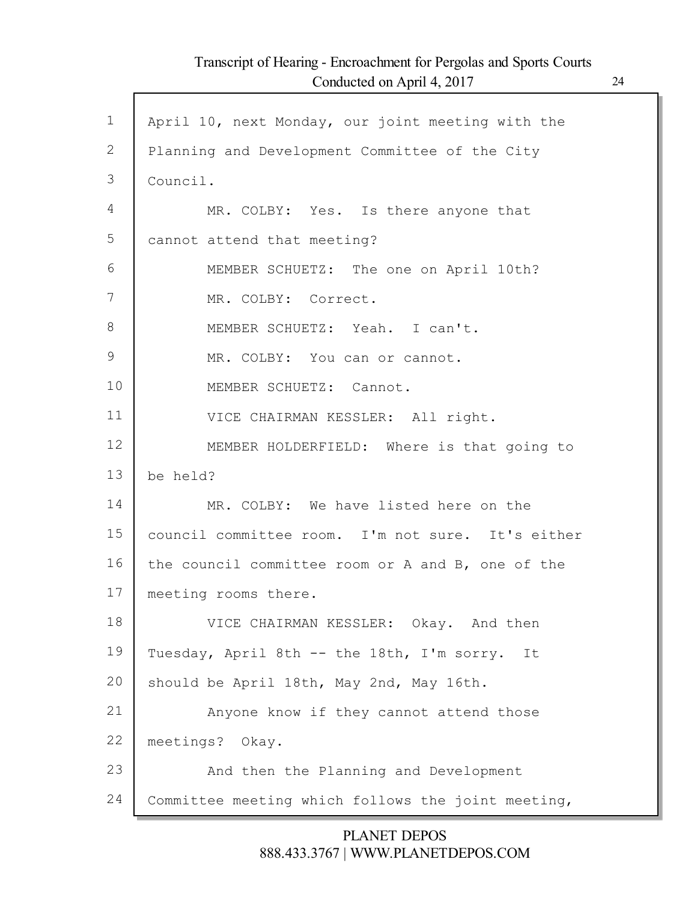| $\mathbf 1$   | April 10, next Monday, our joint meeting with the  |
|---------------|----------------------------------------------------|
| 2             | Planning and Development Committee of the City     |
| 3             | Council.                                           |
| 4             | MR. COLBY: Yes. Is there anyone that               |
| 5             | cannot attend that meeting?                        |
| 6             | MEMBER SCHUETZ: The one on April 10th?             |
| 7             | MR. COLBY: Correct.                                |
| 8             | MEMBER SCHUETZ: Yeah. I can't.                     |
| $\mathcal{G}$ | MR. COLBY: You can or cannot.                      |
| 10            | MEMBER SCHUETZ: Cannot.                            |
| 11            | VICE CHAIRMAN KESSLER: All right.                  |
| 12            | MEMBER HOLDERFIELD: Where is that going to         |
| 13            | be held?                                           |
| 14            | MR. COLBY: We have listed here on the              |
| 15            | council committee room. I'm not sure. It's either  |
| 16            | the council committee room or A and B, one of the  |
| 17            | meeting rooms there.                               |
| 18            | VICE CHAIRMAN KESSLER: Okay. And then              |
| 19            | Tuesday, April 8th -- the 18th, I'm sorry.<br>It   |
| 20            | should be April 18th, May 2nd, May 16th.           |
| 21            | Anyone know if they cannot attend those            |
| 22            | meetings? Okay.                                    |
| 23            | And then the Planning and Development              |
| 24            | Committee meeting which follows the joint meeting, |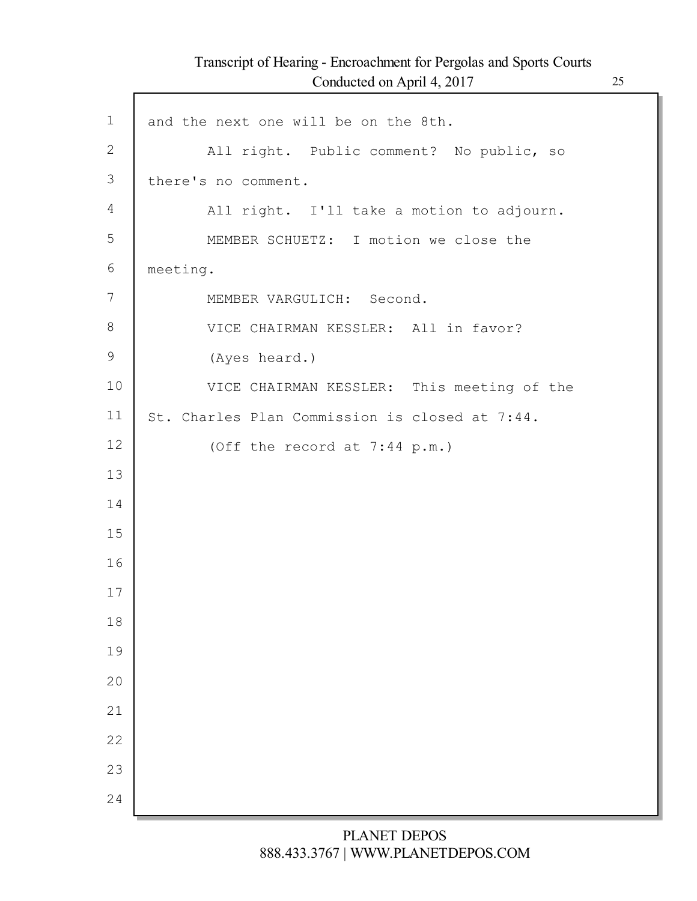Г

| $\mathbf 1$    | and the next one will be on the 8th.           |
|----------------|------------------------------------------------|
| $\overline{2}$ | All right. Public comment? No public, so       |
| 3              | there's no comment.                            |
| 4              | All right. I'll take a motion to adjourn.      |
| 5              | MEMBER SCHUETZ: I motion we close the          |
| 6              | meeting.                                       |
| 7              | MEMBER VARGULICH: Second.                      |
| 8              | VICE CHAIRMAN KESSLER: All in favor?           |
| $\mathcal{G}$  | (Ayes heard.)                                  |
| 10             | VICE CHAIRMAN KESSLER: This meeting of the     |
| 11             | St. Charles Plan Commission is closed at 7:44. |
| 12             | (Off the record at 7:44 p.m.)                  |
| 13             |                                                |
| 14             |                                                |
| 15             |                                                |
| 16             |                                                |
| 17             |                                                |
| 18             |                                                |
| 19             |                                                |
| 20             |                                                |
| 21             |                                                |
| 22             |                                                |
| 23             |                                                |
| 24             |                                                |